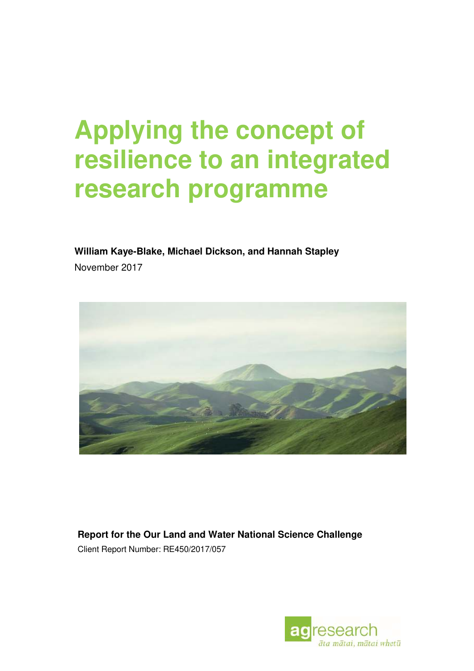# **Applying the concept of resilience to an integrated research programme**

**William Kaye-Blake, Michael Dickson, and Hannah Stapley** November 2017



**Report for the Our Land and Water National Science Challenge** Client Report Number: RE450/2017/057

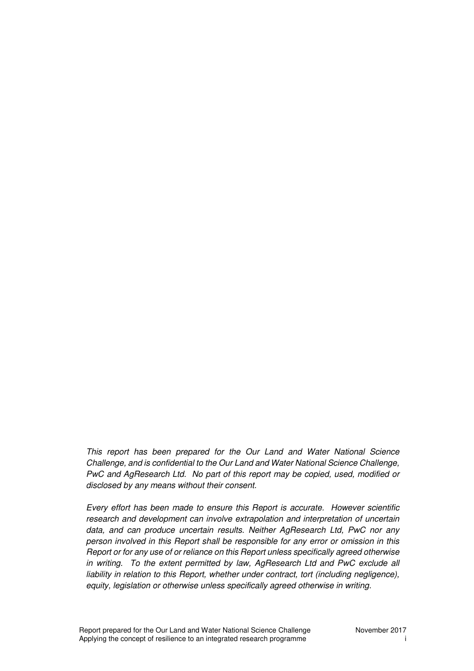*This report has been prepared for the Our Land and Water National Science Challenge, and is confidential to the Our Land and Water National Science Challenge, PwC and AgResearch Ltd. No part of this report may be copied, used, modified or disclosed by any means without their consent.*

*Every effort has been made to ensure this Report is accurate. However scientific research and development can involve extrapolation and interpretation of uncertain data, and can produce uncertain results. Neither AgResearch Ltd, PwC nor any person involved in this Report shall be responsible for any error or omission in this Report or for any use of or reliance on this Report unless specifically agreed otherwise in writing. To the extent permitted by law, AgResearch Ltd and PwC exclude all liability in relation to this Report, whether under contract, tort (including negligence), equity, legislation or otherwise unless specifically agreed otherwise in writing.*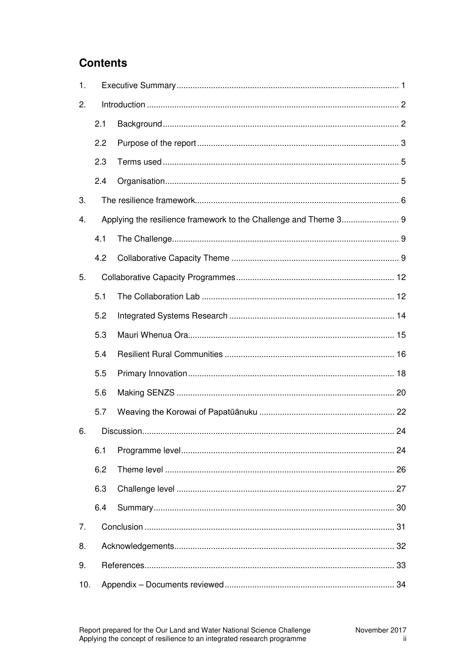# **Contents**

| 1.  |     |  |  |  |  |  |  |  |  |
|-----|-----|--|--|--|--|--|--|--|--|
| 2.  |     |  |  |  |  |  |  |  |  |
|     | 2.1 |  |  |  |  |  |  |  |  |
|     | 2.2 |  |  |  |  |  |  |  |  |
|     | 2.3 |  |  |  |  |  |  |  |  |
|     | 2.4 |  |  |  |  |  |  |  |  |
| 3.  |     |  |  |  |  |  |  |  |  |
| 4.  |     |  |  |  |  |  |  |  |  |
|     | 4.1 |  |  |  |  |  |  |  |  |
|     | 4.2 |  |  |  |  |  |  |  |  |
| 5.  |     |  |  |  |  |  |  |  |  |
|     | 5.1 |  |  |  |  |  |  |  |  |
|     | 5.2 |  |  |  |  |  |  |  |  |
|     | 5.3 |  |  |  |  |  |  |  |  |
|     | 5.4 |  |  |  |  |  |  |  |  |
|     | 5.5 |  |  |  |  |  |  |  |  |
|     | 5.6 |  |  |  |  |  |  |  |  |
|     | 5.7 |  |  |  |  |  |  |  |  |
| 6.  |     |  |  |  |  |  |  |  |  |
|     | 6.1 |  |  |  |  |  |  |  |  |
|     | 6.2 |  |  |  |  |  |  |  |  |
|     | 6.3 |  |  |  |  |  |  |  |  |
|     | 6.4 |  |  |  |  |  |  |  |  |
| 7.  |     |  |  |  |  |  |  |  |  |
| 8.  |     |  |  |  |  |  |  |  |  |
| 9.  |     |  |  |  |  |  |  |  |  |
| 10. |     |  |  |  |  |  |  |  |  |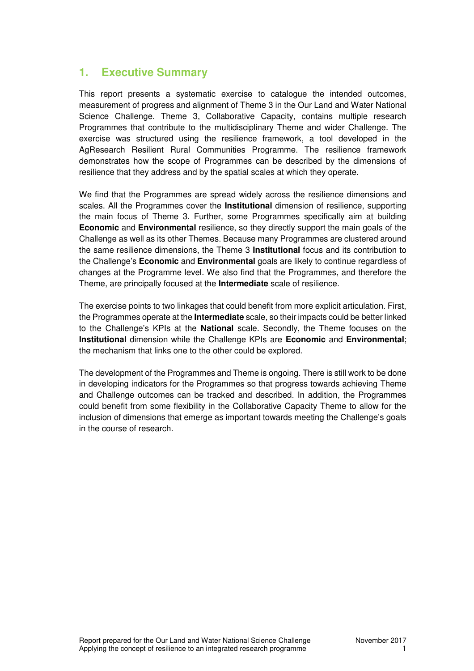## **1. Executive Summary**

This report presents a systematic exercise to catalogue the intended outcomes, measurement of progress and alignment of Theme 3 in the Our Land and Water National Science Challenge. Theme 3, Collaborative Capacity, contains multiple research Programmes that contribute to the multidisciplinary Theme and wider Challenge. The exercise was structured using the resilience framework, a tool developed in the AgResearch Resilient Rural Communities Programme. The resilience framework demonstrates how the scope of Programmes can be described by the dimensions of resilience that they address and by the spatial scales at which they operate.

We find that the Programmes are spread widely across the resilience dimensions and scales. All the Programmes cover the **Institutional** dimension of resilience, supporting the main focus of Theme 3. Further, some Programmes specifically aim at building **Economic** and **Environmental** resilience, so they directly support the main goals of the Challenge as well as its other Themes. Because many Programmes are clustered around the same resilience dimensions, the Theme 3 **Institutional** focus and its contribution to the Challenge's **Economic** and **Environmental** goals are likely to continue regardless of changes at the Programme level. We also find that the Programmes, and therefore the Theme, are principally focused at the **Intermediate** scale of resilience.

The exercise points to two linkages that could benefit from more explicit articulation. First, the Programmes operate at the **Intermediate** scale, so their impacts could be better linked to the Challenge's KPIs at the **National** scale. Secondly, the Theme focuses on the **Institutional** dimension while the Challenge KPIs are **Economic** and **Environmental**; the mechanism that links one to the other could be explored.

The development of the Programmes and Theme is ongoing. There is still work to be done in developing indicators for the Programmes so that progress towards achieving Theme and Challenge outcomes can be tracked and described. In addition, the Programmes could benefit from some flexibility in the Collaborative Capacity Theme to allow for the inclusion of dimensions that emerge as important towards meeting the Challenge's goals in the course of research.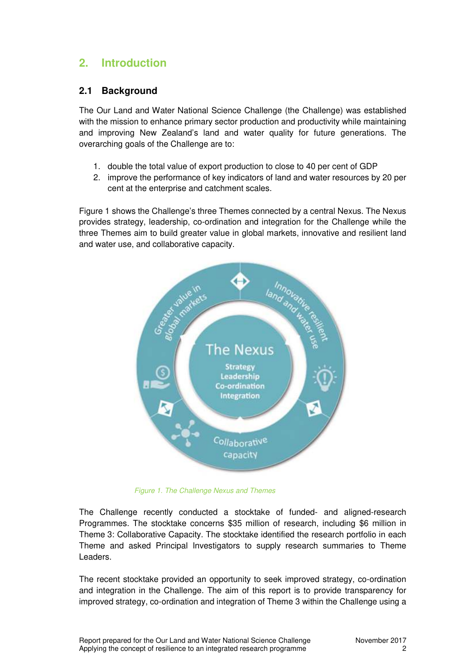# **2. Introduction**

### **2.1 Background**

The Our Land and Water National Science Challenge (the Challenge) was established with the mission to enhance primary sector production and productivity while maintaining and improving New Zealand's land and water quality for future generations. The overarching goals of the Challenge are to:

- 1. double the total value of export production to close to 40 per cent of GDP
- 2. improve the performance of key indicators of land and water resources by 20 per cent at the enterprise and catchment scales.

Figure 1 shows the Challenge's three Themes connected by a central Nexus. The Nexus provides strategy, leadership, co-ordination and integration for the Challenge while the three Themes aim to build greater value in global markets, innovative and resilient land and water use, and collaborative capacity.



*Figure 1. The Challenge Nexus and Themes*

The Challenge recently conducted a stocktake of funded- and aligned-research Programmes. The stocktake concerns \$35 million of research, including \$6 million in Theme 3: Collaborative Capacity. The stocktake identified the research portfolio in each Theme and asked Principal Investigators to supply research summaries to Theme Leaders.

The recent stocktake provided an opportunity to seek improved strategy, co-ordination and integration in the Challenge. The aim of this report is to provide transparency for improved strategy, co-ordination and integration of Theme 3 within the Challenge using a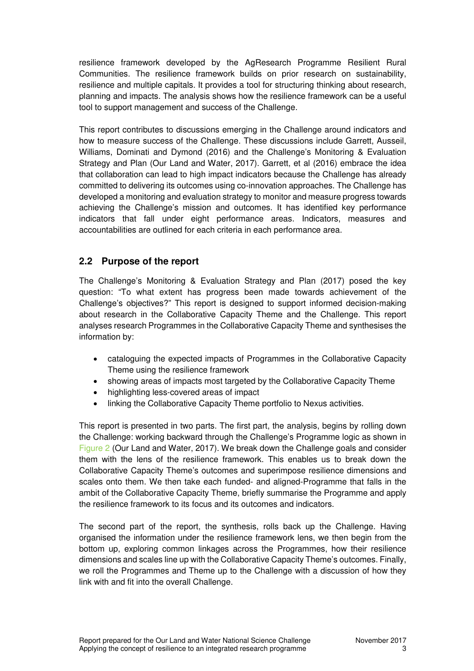resilience framework developed by the AgResearch Programme Resilient Rural Communities. The resilience framework builds on prior research on sustainability, resilience and multiple capitals. It provides a tool for structuring thinking about research, planning and impacts. The analysis shows how the resilience framework can be a useful tool to support management and success of the Challenge.

This report contributes to discussions emerging in the Challenge around indicators and how to measure success of the Challenge. These discussions include Garrett, Ausseil, Williams, Dominati and Dymond (2016) and the Challenge's Monitoring & Evaluation Strategy and Plan (Our Land and Water, 2017). Garrett, et al (2016) embrace the idea that collaboration can lead to high impact indicators because the Challenge has already committed to delivering its outcomes using co-innovation approaches. The Challenge has developed a monitoring and evaluation strategy to monitor and measure progress towards achieving the Challenge's mission and outcomes. It has identified key performance indicators that fall under eight performance areas. Indicators, measures and accountabilities are outlined for each criteria in each performance area.

### **2.2 Purpose of the report**

The Challenge's Monitoring & Evaluation Strategy and Plan (2017) posed the key question: "To what extent has progress been made towards achievement of the Challenge's objectives?" This report is designed to support informed decision-making about research in the Collaborative Capacity Theme and the Challenge. This report analyses research Programmes in the Collaborative Capacity Theme and synthesises the information by:

- cataloguing the expected impacts of Programmes in the Collaborative Capacity Theme using the resilience framework
- showing areas of impacts most targeted by the Collaborative Capacity Theme
- highlighting less-covered areas of impact
- linking the Collaborative Capacity Theme portfolio to Nexus activities.

This report is presented in two parts. The first part, the analysis, begins by rolling down the Challenge: working backward through the Challenge's Programme logic as shown in Figure 2 (Our Land and Water, 2017). We break down the Challenge goals and consider them with the lens of the resilience framework. This enables us to break down the Collaborative Capacity Theme's outcomes and superimpose resilience dimensions and scales onto them. We then take each funded- and aligned-Programme that falls in the ambit of the Collaborative Capacity Theme, briefly summarise the Programme and apply the resilience framework to its focus and its outcomes and indicators.

The second part of the report, the synthesis, rolls back up the Challenge. Having organised the information under the resilience framework lens, we then begin from the bottom up, exploring common linkages across the Programmes, how their resilience dimensions and scales line up with the Collaborative Capacity Theme's outcomes. Finally, we roll the Programmes and Theme up to the Challenge with a discussion of how they link with and fit into the overall Challenge.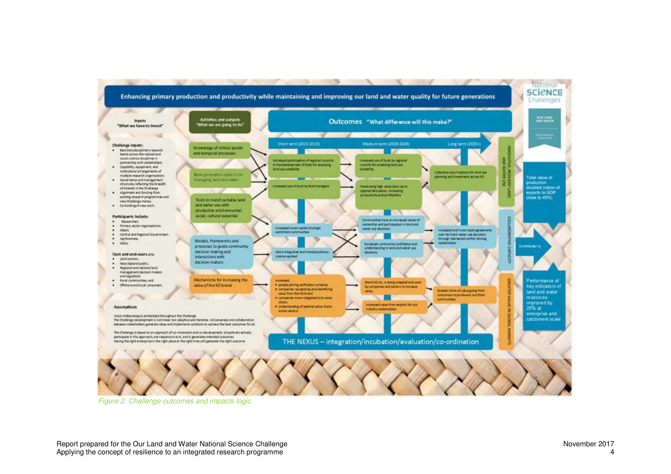

*Figure 2. Challenge outcomes and impacts logic*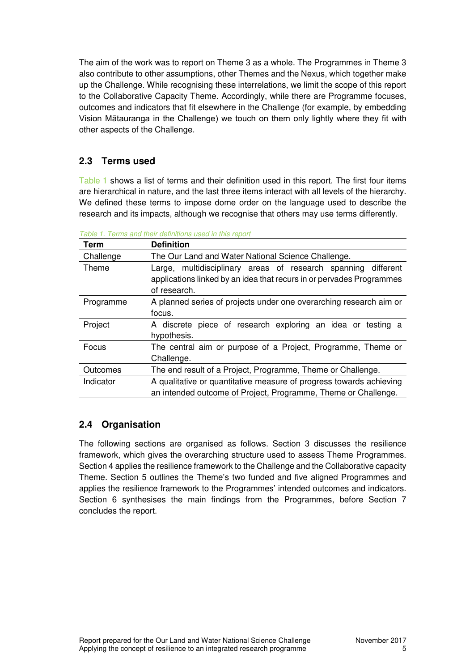The aim of the work was to report on Theme 3 as a whole. The Programmes in Theme 3 also contribute to other assumptions, other Themes and the Nexus, which together make up the Challenge. While recognising these interrelations, we limit the scope of this report to the Collaborative Capacity Theme. Accordingly, while there are Programme focuses, outcomes and indicators that fit elsewhere in the Challenge (for example, by embedding Vision Mātauranga in the Challenge) we touch on them only lightly where they fit with other aspects of the Challenge.

### **2.3 Terms used**

Table 1 shows a list of terms and their definition used in this report. The first four items are hierarchical in nature, and the last three items interact with all levels of the hierarchy. We defined these terms to impose dome order on the language used to describe the research and its impacts, although we recognise that others may use terms differently.

| Term                                                                    | <b>Definition</b>                                                                                                                                     |  |  |  |  |  |  |  |  |  |
|-------------------------------------------------------------------------|-------------------------------------------------------------------------------------------------------------------------------------------------------|--|--|--|--|--|--|--|--|--|
| Challenge                                                               | The Our Land and Water National Science Challenge.                                                                                                    |  |  |  |  |  |  |  |  |  |
| Theme                                                                   | Large, multidisciplinary areas of research spanning different<br>applications linked by an idea that recurs in or pervades Programmes<br>of research. |  |  |  |  |  |  |  |  |  |
| Programme                                                               | A planned series of projects under one overarching research aim or                                                                                    |  |  |  |  |  |  |  |  |  |
|                                                                         | focus.                                                                                                                                                |  |  |  |  |  |  |  |  |  |
| Project                                                                 | A discrete piece of research exploring an idea or testing a                                                                                           |  |  |  |  |  |  |  |  |  |
|                                                                         | hypothesis.                                                                                                                                           |  |  |  |  |  |  |  |  |  |
| Focus<br>The central aim or purpose of a Project, Programme, Theme or   |                                                                                                                                                       |  |  |  |  |  |  |  |  |  |
| Challenge.                                                              |                                                                                                                                                       |  |  |  |  |  |  |  |  |  |
| The end result of a Project, Programme, Theme or Challenge.<br>Outcomes |                                                                                                                                                       |  |  |  |  |  |  |  |  |  |
| Indicator                                                               | A qualitative or quantitative measure of progress towards achieving                                                                                   |  |  |  |  |  |  |  |  |  |
| an intended outcome of Project, Programme, Theme or Challenge.          |                                                                                                                                                       |  |  |  |  |  |  |  |  |  |

*Table 1. Terms and their definitions used in this report*

### **2.4 Organisation**

The following sections are organised as follows. Section 3 discusses the resilience framework, which gives the overarching structure used to assess Theme Programmes. Section 4 applies the resilience framework to the Challenge and the Collaborative capacity Theme. Section 5 outlines the Theme's two funded and five aligned Programmes and applies the resilience framework to the Programmes' intended outcomes and indicators. Section 6 synthesises the main findings from the Programmes, before Section 7 concludes the report.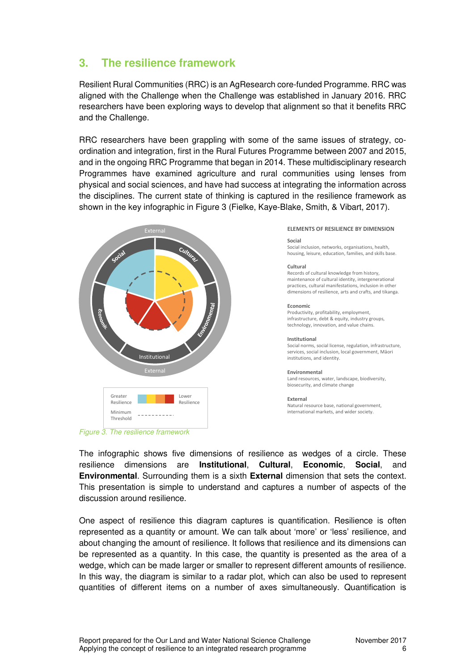# **3. The resilience framework**

Resilient Rural Communities (RRC) is an AgResearch core-funded Programme. RRC was aligned with the Challenge when the Challenge was established in January 2016. RRC researchers have been exploring ways to develop that alignment so that it benefits RRC and the Challenge.

RRC researchers have been grappling with some of the same issues of strategy, coordination and integration, first in the Rural Futures Programme between 2007 and 2015, and in the ongoing RRC Programme that began in 2014. These multidisciplinary research Programmes have examined agriculture and rural communities using lenses from physical and social sciences, and have had success at integrating the information across the disciplines. The current state of thinking is captured in the resilience framework as shown in the key infographic in Figure 3 (Fielke, Kaye-Blake, Smith, & Vibart, 2017).



*Figure 3. The resilience framework*

#### **ELEMENTS OF RESILIENCE BY DIMENSION**

#### **Social**

Social inclusion, networks, organisations, health, housing, leisure, education, families, and skills base.

#### **Cultural**

Records of cultural knowledge from history, maintenance of cultural identity, intergenerational practices, cultural manifestations, inclusion in other dimensions of resilience, arts and crafts, and tikanga.

#### **Economic**

Productivity, profitability, employment, infrastructure, debt & equity, industry groups, technology, innovation, and value chains.

#### **Institutional**

Social norms, social license, regulation, infrastructure services, social inclusion, local government, Māori institutions, and identity.

#### **Environmental**

Land resources, water, landscape, biodiversity, biosecurity, and climate change

#### **External**

Natural resource base, national government, international markets, and wider society.

The infographic shows five dimensions of resilience as wedges of a circle. These resilience dimensions are **Institutional**, **Cultural**, **Economic**, **Social**, and **Environmental**. Surrounding them is a sixth **External** dimension that sets the context. This presentation is simple to understand and captures a number of aspects of the discussion around resilience.

One aspect of resilience this diagram captures is quantification. Resilience is often represented as a quantity or amount. We can talk about 'more' or 'less' resilience, and about changing the amount of resilience. It follows that resilience and its dimensions can be represented as a quantity. In this case, the quantity is presented as the area of a wedge, which can be made larger or smaller to represent different amounts of resilience. In this way, the diagram is similar to a radar plot, which can also be used to represent quantities of different items on a number of axes simultaneously. Quantification is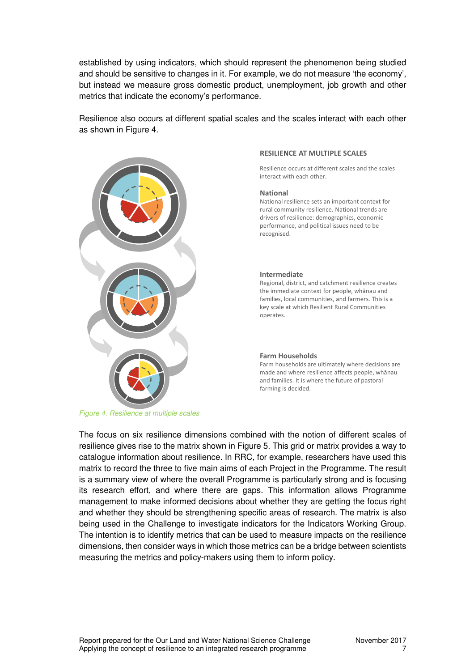established by using indicators, which should represent the phenomenon being studied and should be sensitive to changes in it. For example, we do not measure 'the economy', but instead we measure gross domestic product, unemployment, job growth and other metrics that indicate the economy's performance.

Resilience also occurs at different spatial scales and the scales interact with each other as shown in Figure 4.



#### **RESILIENCE AT MULTIPLE SCALES**

Resilience occurs at different scales and the scales interact with each other.

#### **National**

National resilience sets an important context for rural community resilience. National trends are drivers of resilience: demographics, economic performance, and political issues need to be recognised.

#### **Intermediate**

Regional, district, and catchment resilience creates the immediate context for people, whānau and families, local communities, and farmers. This is a key scale at which Resilient Rural Communities operates.

#### **Farm Households**

Farm households are ultimately where decisions are made and where resilience affects people, whānau and families. It is where the future of pastoral farming is decided.

The focus on six resilience dimensions combined with the notion of different scales of resilience gives rise to the matrix shown in Figure 5. This grid or matrix provides a way to catalogue information about resilience. In RRC, for example, researchers have used this matrix to record the three to five main aims of each Project in the Programme. The result is a summary view of where the overall Programme is particularly strong and is focusing its research effort, and where there are gaps. This information allows Programme management to make informed decisions about whether they are getting the focus right and whether they should be strengthening specific areas of research. The matrix is also being used in the Challenge to investigate indicators for the Indicators Working Group. The intention is to identify metrics that can be used to measure impacts on the resilience dimensions, then consider ways in which those metrics can be a bridge between scientists measuring the metrics and policy-makers using them to inform policy.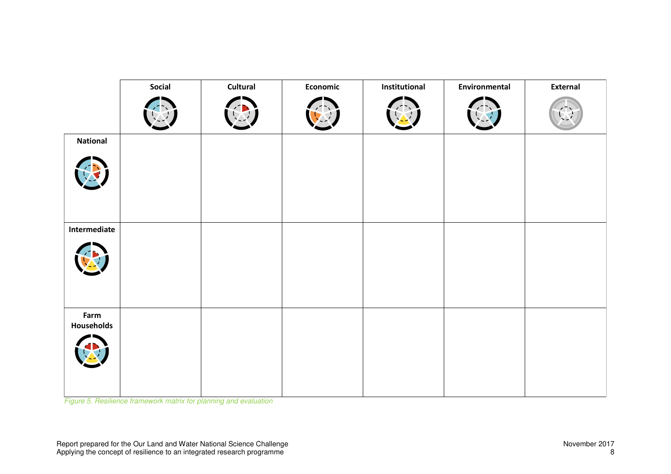|                    | Social | Cultural | Economic | Institutional | Environmental | External |
|--------------------|--------|----------|----------|---------------|---------------|----------|
|                    |        |          |          |               |               |          |
| <b>National</b>    |        |          |          |               |               |          |
|                    |        |          |          |               |               |          |
| Intermediate       |        |          |          |               |               |          |
|                    |        |          |          |               |               |          |
| Farm<br>Households |        |          |          |               |               |          |
|                    |        |          |          |               |               |          |

*Figure 5. Resilience framework matrix for planning and evaluation*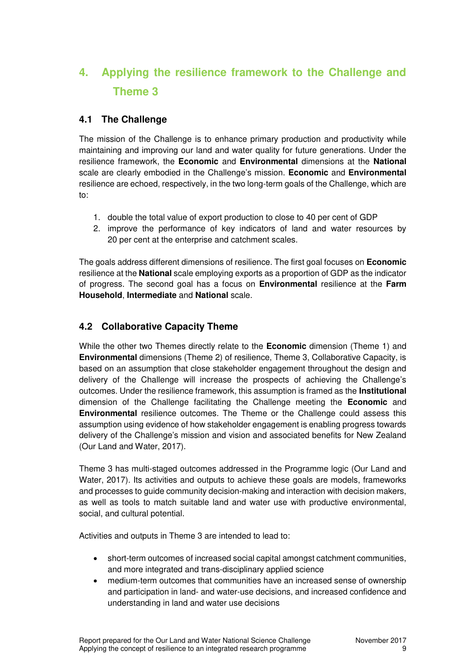# **4. Applying the resilience framework to the Challenge and Theme 3**

### **4.1 The Challenge**

The mission of the Challenge is to enhance primary production and productivity while maintaining and improving our land and water quality for future generations. Under the resilience framework, the **Economic** and **Environmental** dimensions at the **National** scale are clearly embodied in the Challenge's mission. **Economic** and **Environmental** resilience are echoed, respectively, in the two long-term goals of the Challenge, which are to:

- 1. double the total value of export production to close to 40 per cent of GDP
- 2. improve the performance of key indicators of land and water resources by 20 per cent at the enterprise and catchment scales.

The goals address different dimensions of resilience. The first goal focuses on **Economic** resilience at the **National** scale employing exports as a proportion of GDP as the indicator of progress. The second goal has a focus on **Environmental** resilience at the **Farm Household**, **Intermediate** and **National** scale.

### **4.2 Collaborative Capacity Theme**

While the other two Themes directly relate to the **Economic** dimension (Theme 1) and **Environmental** dimensions (Theme 2) of resilience, Theme 3, Collaborative Capacity, is based on an assumption that close stakeholder engagement throughout the design and delivery of the Challenge will increase the prospects of achieving the Challenge's outcomes. Under the resilience framework, this assumption is framed as the **Institutional** dimension of the Challenge facilitating the Challenge meeting the **Economic** and **Environmental** resilience outcomes. The Theme or the Challenge could assess this assumption using evidence of how stakeholder engagement is enabling progress towards delivery of the Challenge's mission and vision and associated benefits for New Zealand (Our Land and Water, 2017).

Theme 3 has multi-staged outcomes addressed in the Programme logic (Our Land and Water, 2017). Its activities and outputs to achieve these goals are models, frameworks and processes to guide community decision-making and interaction with decision makers, as well as tools to match suitable land and water use with productive environmental, social, and cultural potential.

Activities and outputs in Theme 3 are intended to lead to:

- short-term outcomes of increased social capital amongst catchment communities, and more integrated and trans-disciplinary applied science
- medium-term outcomes that communities have an increased sense of ownership and participation in land- and water-use decisions, and increased confidence and understanding in land and water use decisions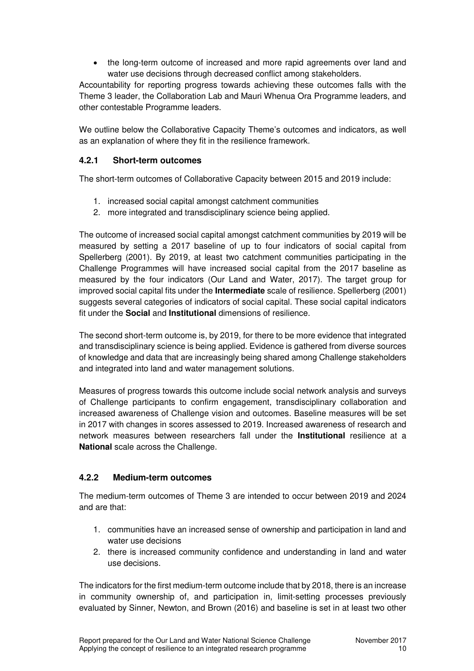the long-term outcome of increased and more rapid agreements over land and water use decisions through decreased conflict among stakeholders.

Accountability for reporting progress towards achieving these outcomes falls with the Theme 3 leader, the Collaboration Lab and Mauri Whenua Ora Programme leaders, and other contestable Programme leaders.

We outline below the Collaborative Capacity Theme's outcomes and indicators, as well as an explanation of where they fit in the resilience framework.

#### **4.2.1 Short-term outcomes**

The short-term outcomes of Collaborative Capacity between 2015 and 2019 include:

- 1. increased social capital amongst catchment communities
- 2. more integrated and transdisciplinary science being applied.

The outcome of increased social capital amongst catchment communities by 2019 will be measured by setting a 2017 baseline of up to four indicators of social capital from Spellerberg (2001). By 2019, at least two catchment communities participating in the Challenge Programmes will have increased social capital from the 2017 baseline as measured by the four indicators (Our Land and Water, 2017). The target group for improved social capital fits under the **Intermediate** scale of resilience. Spellerberg (2001) suggests several categories of indicators of social capital. These social capital indicators fit under the **Social** and **Institutional** dimensions of resilience.

The second short-term outcome is, by 2019, for there to be more evidence that integrated and transdisciplinary science is being applied. Evidence is gathered from diverse sources of knowledge and data that are increasingly being shared among Challenge stakeholders and integrated into land and water management solutions.

Measures of progress towards this outcome include social network analysis and surveys of Challenge participants to confirm engagement, transdisciplinary collaboration and increased awareness of Challenge vision and outcomes. Baseline measures will be set in 2017 with changes in scores assessed to 2019. Increased awareness of research and network measures between researchers fall under the **Institutional** resilience at a **National** scale across the Challenge.

#### **4.2.2 Medium-term outcomes**

The medium-term outcomes of Theme 3 are intended to occur between 2019 and 2024 and are that:

- 1. communities have an increased sense of ownership and participation in land and water use decisions
- 2. there is increased community confidence and understanding in land and water use decisions.

The indicators for the first medium-term outcome include that by 2018, there is an increase in community ownership of, and participation in, limit-setting processes previously evaluated by Sinner, Newton, and Brown (2016) and baseline is set in at least two other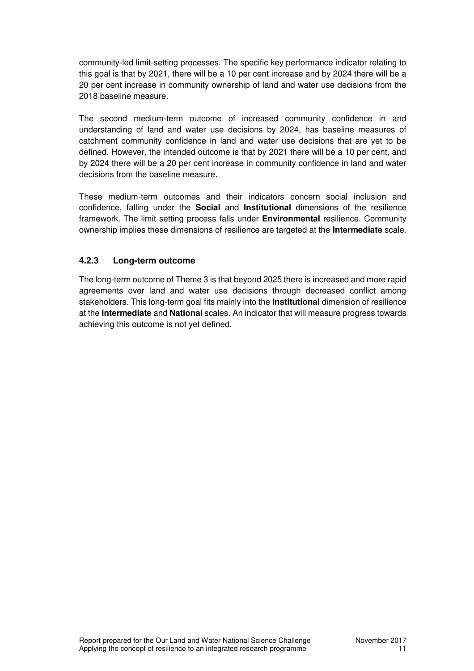community-led limit-setting processes. The specific key performance indicator relating to this goal is that by 2021, there will be a 10 per cent increase and by 2024 there will be a 20 per cent increase in community ownership of land and water use decisions from the 2018 baseline measure.

The second medium-term outcome of increased community confidence in and understanding of land and water use decisions by 2024, has baseline measures of catchment community confidence in land and water use decisions that are yet to be defined. However, the intended outcome is that by 2021 there will be a 10 per cent, and by 2024 there will be a 20 per cent increase in community confidence in land and water decisions from the baseline measure.

These medium-term outcomes and their indicators concern social inclusion and confidence, falling under the **Social** and **Institutional** dimensions of the resilience framework. The limit setting process falls under **Environmental** resilience. Community ownership implies these dimensions of resilience are targeted at the **Intermediate** scale.

#### **4.2.3 Long-term outcome**

The long-term outcome of Theme 3 is that beyond 2025 there is increased and more rapid agreements over land and water use decisions through decreased conflict among stakeholders. This long-term goal fits mainly into the **Institutional** dimension of resilience at the **Intermediate** and **National** scales. An indicator that will measure progress towards achieving this outcome is not yet defined.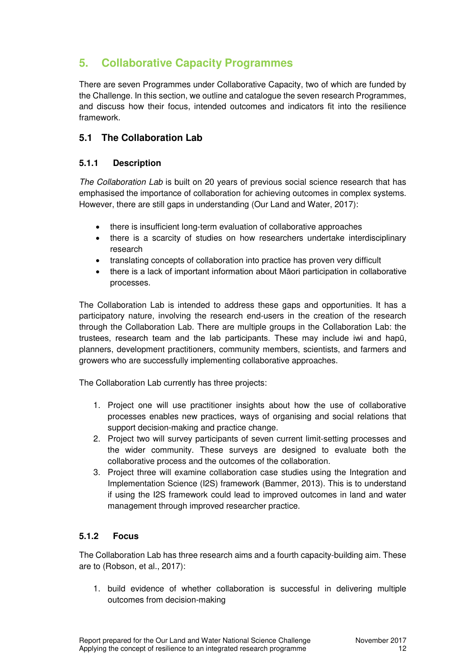# **5. Collaborative Capacity Programmes**

There are seven Programmes under Collaborative Capacity, two of which are funded by the Challenge. In this section, we outline and catalogue the seven research Programmes, and discuss how their focus, intended outcomes and indicators fit into the resilience framework.

### **5.1 The Collaboration Lab**

#### **5.1.1 Description**

*The Collaboration Lab* is built on 20 years of previous social science research that has emphasised the importance of collaboration for achieving outcomes in complex systems. However, there are still gaps in understanding (Our Land and Water, 2017):

- there is insufficient long-term evaluation of collaborative approaches
- there is a scarcity of studies on how researchers undertake interdisciplinary research
- translating concepts of collaboration into practice has proven very difficult
- there is a lack of important information about Māori participation in collaborative processes.

The Collaboration Lab is intended to address these gaps and opportunities. It has a participatory nature, involving the research end-users in the creation of the research through the Collaboration Lab. There are multiple groups in the Collaboration Lab: the trustees, research team and the lab participants. These may include iwi and hapū, planners, development practitioners, community members, scientists, and farmers and growers who are successfully implementing collaborative approaches.

The Collaboration Lab currently has three projects:

- 1. Project one will use practitioner insights about how the use of collaborative processes enables new practices, ways of organising and social relations that support decision-making and practice change.
- 2. Project two will survey participants of seven current limit-setting processes and the wider community. These surveys are designed to evaluate both the collaborative process and the outcomes of the collaboration.
- 3. Project three will examine collaboration case studies using the Integration and Implementation Science (I2S) framework (Bammer, 2013). This is to understand if using the I2S framework could lead to improved outcomes in land and water management through improved researcher practice.

#### **5.1.2 Focus**

The Collaboration Lab has three research aims and a fourth capacity-building aim. These are to (Robson, et al., 2017):

1. build evidence of whether collaboration is successful in delivering multiple outcomes from decision-making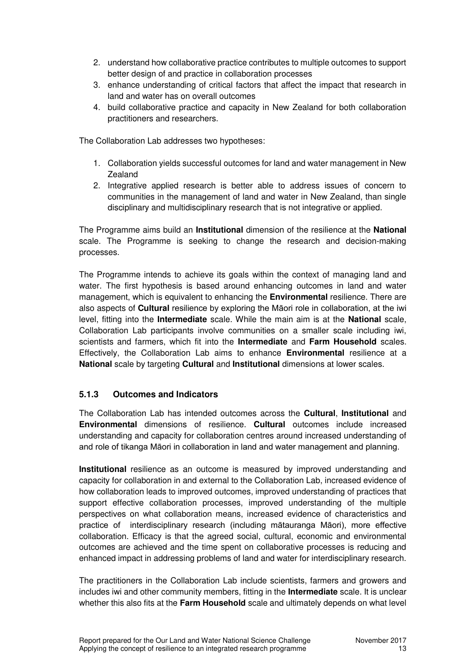- 2. understand how collaborative practice contributes to multiple outcomes to support better design of and practice in collaboration processes
- 3. enhance understanding of critical factors that affect the impact that research in land and water has on overall outcomes
- 4. build collaborative practice and capacity in New Zealand for both collaboration practitioners and researchers.

The Collaboration Lab addresses two hypotheses:

- 1. Collaboration yields successful outcomes for land and water management in New Zealand
- 2. Integrative applied research is better able to address issues of concern to communities in the management of land and water in New Zealand, than single disciplinary and multidisciplinary research that is not integrative or applied.

The Programme aims build an **Institutional** dimension of the resilience at the **National** scale. The Programme is seeking to change the research and decision-making processes.

The Programme intends to achieve its goals within the context of managing land and water. The first hypothesis is based around enhancing outcomes in land and water management, which is equivalent to enhancing the **Environmental** resilience. There are also aspects of **Cultural** resilience by exploring the Māori role in collaboration, at the iwi level, fitting into the **Intermediate** scale. While the main aim is at the **National** scale, Collaboration Lab participants involve communities on a smaller scale including iwi, scientists and farmers, which fit into the **Intermediate** and **Farm Household** scales. Effectively, the Collaboration Lab aims to enhance **Environmental** resilience at a **National** scale by targeting **Cultural** and **Institutional** dimensions at lower scales.

#### **5.1.3 Outcomes and Indicators**

The Collaboration Lab has intended outcomes across the **Cultural**, **Institutional** and **Environmental** dimensions of resilience. **Cultural** outcomes include increased understanding and capacity for collaboration centres around increased understanding of and role of tikanga Māori in collaboration in land and water management and planning.

**Institutional** resilience as an outcome is measured by improved understanding and capacity for collaboration in and external to the Collaboration Lab, increased evidence of how collaboration leads to improved outcomes, improved understanding of practices that support effective collaboration processes, improved understanding of the multiple perspectives on what collaboration means, increased evidence of characteristics and practice of interdisciplinary research (including mātauranga Māori), more effective collaboration. Efficacy is that the agreed social, cultural, economic and environmental outcomes are achieved and the time spent on collaborative processes is reducing and enhanced impact in addressing problems of land and water for interdisciplinary research.

The practitioners in the Collaboration Lab include scientists, farmers and growers and includes iwi and other community members, fitting in the **Intermediate** scale. It is unclear whether this also fits at the **Farm Household** scale and ultimately depends on what level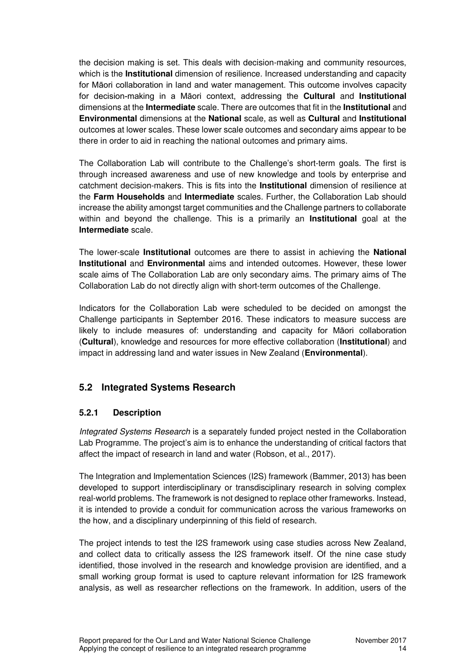the decision making is set. This deals with decision-making and community resources, which is the **Institutional** dimension of resilience. Increased understanding and capacity for Māori collaboration in land and water management. This outcome involves capacity for decision-making in a Māori context, addressing the **Cultural** and **Institutional** dimensions at the **Intermediate** scale. There are outcomes that fit in the **Institutional** and **Environmental** dimensions at the **National** scale, as well as **Cultural** and **Institutional** outcomes at lower scales. These lower scale outcomes and secondary aims appear to be there in order to aid in reaching the national outcomes and primary aims.

The Collaboration Lab will contribute to the Challenge's short-term goals. The first is through increased awareness and use of new knowledge and tools by enterprise and catchment decision-makers. This is fits into the **Institutional** dimension of resilience at the **Farm Households** and **Intermediate** scales. Further, the Collaboration Lab should increase the ability amongst target communities and the Challenge partners to collaborate within and beyond the challenge. This is a primarily an **Institutional** goal at the **Intermediate** scale.

The lower-scale **Institutional** outcomes are there to assist in achieving the **National Institutional** and **Environmental** aims and intended outcomes. However, these lower scale aims of The Collaboration Lab are only secondary aims. The primary aims of The Collaboration Lab do not directly align with short-term outcomes of the Challenge.

Indicators for the Collaboration Lab were scheduled to be decided on amongst the Challenge participants in September 2016. These indicators to measure success are likely to include measures of: understanding and capacity for Māori collaboration (**Cultural**), knowledge and resources for more effective collaboration (**Institutional**) and impact in addressing land and water issues in New Zealand (**Environmental**).

### **5.2 Integrated Systems Research**

#### **5.2.1 Description**

*Integrated Systems Research* is a separately funded project nested in the Collaboration Lab Programme. The project's aim is to enhance the understanding of critical factors that affect the impact of research in land and water (Robson, et al., 2017).

The Integration and Implementation Sciences (I2S) framework (Bammer, 2013) has been developed to support interdisciplinary or transdisciplinary research in solving complex real-world problems. The framework is not designed to replace other frameworks. Instead, it is intended to provide a conduit for communication across the various frameworks on the how, and a disciplinary underpinning of this field of research.

The project intends to test the I2S framework using case studies across New Zealand, and collect data to critically assess the I2S framework itself. Of the nine case study identified, those involved in the research and knowledge provision are identified, and a small working group format is used to capture relevant information for I2S framework analysis, as well as researcher reflections on the framework. In addition, users of the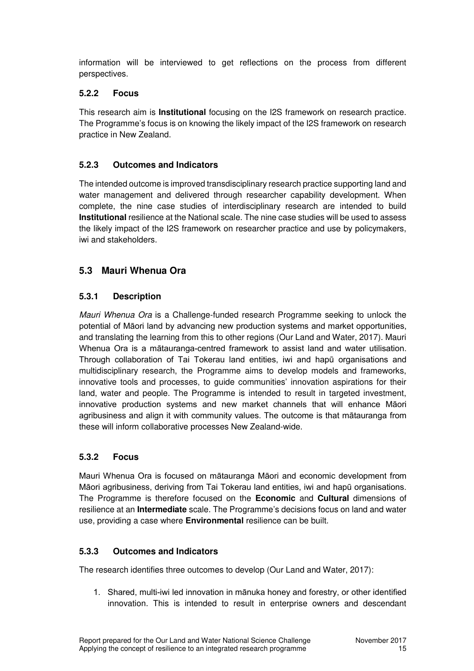information will be interviewed to get reflections on the process from different perspectives.

#### **5.2.2 Focus**

This research aim is **Institutional** focusing on the I2S framework on research practice. The Programme's focus is on knowing the likely impact of the I2S framework on research practice in New Zealand.

#### **5.2.3 Outcomes and Indicators**

The intended outcome is improved transdisciplinary research practice supporting land and water management and delivered through researcher capability development. When complete, the nine case studies of interdisciplinary research are intended to build **Institutional** resilience at the National scale. The nine case studies will be used to assess the likely impact of the I2S framework on researcher practice and use by policymakers, iwi and stakeholders.

### **5.3 Mauri Whenua Ora**

### **5.3.1 Description**

*Mauri Whenua Ora* is a Challenge-funded research Programme seeking to unlock the potential of Māori land by advancing new production systems and market opportunities, and translating the learning from this to other regions (Our Land and Water, 2017). Mauri Whenua Ora is a mātauranga-centred framework to assist land and water utilisation. Through collaboration of Tai Tokerau land entities, iwi and hapū organisations and multidisciplinary research, the Programme aims to develop models and frameworks, innovative tools and processes, to guide communities' innovation aspirations for their land, water and people. The Programme is intended to result in targeted investment, innovative production systems and new market channels that will enhance Māori agribusiness and align it with community values. The outcome is that mātauranga from these will inform collaborative processes New Zealand-wide.

#### **5.3.2 Focus**

Mauri Whenua Ora is focused on mātauranga Māori and economic development from Māori agribusiness, deriving from Tai Tokerau land entities, iwi and hapū organisations. The Programme is therefore focused on the **Economic** and **Cultural** dimensions of resilience at an **Intermediate** scale. The Programme's decisions focus on land and water use, providing a case where **Environmental** resilience can be built.

#### **5.3.3 Outcomes and Indicators**

The research identifies three outcomes to develop (Our Land and Water, 2017):

1. Shared, multi-iwi led innovation in mānuka honey and forestry, or other identified innovation. This is intended to result in enterprise owners and descendant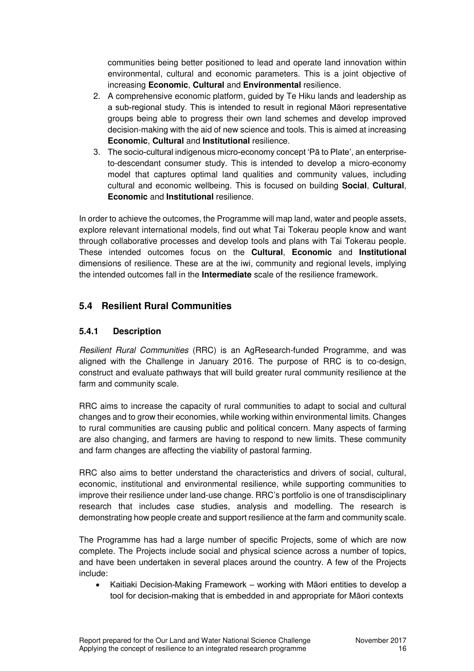communities being better positioned to lead and operate land innovation within environmental, cultural and economic parameters. This is a joint objective of increasing **Economic**, **Cultural** and **Environmental** resilience.

- 2. A comprehensive economic platform, guided by Te Hiku lands and leadership as a sub-regional study. This is intended to result in regional Māori representative groups being able to progress their own land schemes and develop improved decision-making with the aid of new science and tools. This is aimed at increasing **Economic**, **Cultural** and **Institutional** resilience.
- 3. The socio-cultural indigenous micro-economy concept 'Pā to Plate', an enterpriseto-descendant consumer study. This is intended to develop a micro-economy model that captures optimal land qualities and community values, including cultural and economic wellbeing. This is focused on building **Social**, **Cultural**, **Economic** and **Institutional** resilience.

In order to achieve the outcomes, the Programme will map land, water and people assets, explore relevant international models, find out what Tai Tokerau people know and want through collaborative processes and develop tools and plans with Tai Tokerau people. These intended outcomes focus on the **Cultural**, **Economic** and **Institutional** dimensions of resilience. These are at the iwi, community and regional levels, implying the intended outcomes fall in the **Intermediate** scale of the resilience framework.

### **5.4 Resilient Rural Communities**

#### **5.4.1 Description**

*Resilient Rural Communities* (RRC) is an AgResearch-funded Programme, and was aligned with the Challenge in January 2016. The purpose of RRC is to co-design, construct and evaluate pathways that will build greater rural community resilience at the farm and community scale.

RRC aims to increase the capacity of rural communities to adapt to social and cultural changes and to grow their economies, while working within environmental limits. Changes to rural communities are causing public and political concern. Many aspects of farming are also changing, and farmers are having to respond to new limits. These community and farm changes are affecting the viability of pastoral farming.

RRC also aims to better understand the characteristics and drivers of social, cultural, economic, institutional and environmental resilience, while supporting communities to improve their resilience under land-use change. RRC's portfolio is one of transdisciplinary research that includes case studies, analysis and modelling. The research is demonstrating how people create and support resilience at the farm and community scale.

The Programme has had a large number of specific Projects, some of which are now complete. The Projects include social and physical science across a number of topics, and have been undertaken in several places around the country. A few of the Projects include:

 Kaitiaki Decision-Making Framework – working with Māori entities to develop a tool for decision-making that is embedded in and appropriate for Māori contexts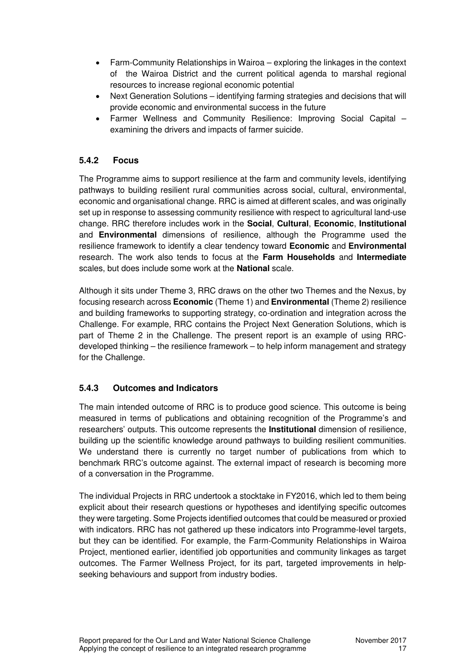- Farm-Community Relationships in Wairoa exploring the linkages in the context of the Wairoa District and the current political agenda to marshal regional resources to increase regional economic potential
- Next Generation Solutions identifying farming strategies and decisions that will provide economic and environmental success in the future
- Farmer Wellness and Community Resilience: Improving Social Capital examining the drivers and impacts of farmer suicide.

#### **5.4.2 Focus**

The Programme aims to support resilience at the farm and community levels, identifying pathways to building resilient rural communities across social, cultural, environmental, economic and organisational change. RRC is aimed at different scales, and was originally set up in response to assessing community resilience with respect to agricultural land-use change. RRC therefore includes work in the **Social**, **Cultural**, **Economic**, **Institutional** and **Environmental** dimensions of resilience, although the Programme used the resilience framework to identify a clear tendency toward **Economic** and **Environmental** research. The work also tends to focus at the **Farm Households** and **Intermediate** scales, but does include some work at the **National** scale.

Although it sits under Theme 3, RRC draws on the other two Themes and the Nexus, by focusing research across **Economic** (Theme 1) and **Environmental** (Theme 2) resilience and building frameworks to supporting strategy, co-ordination and integration across the Challenge. For example, RRC contains the Project Next Generation Solutions, which is part of Theme 2 in the Challenge. The present report is an example of using RRCdeveloped thinking – the resilience framework – to help inform management and strategy for the Challenge.

#### **5.4.3 Outcomes and Indicators**

The main intended outcome of RRC is to produce good science. This outcome is being measured in terms of publications and obtaining recognition of the Programme's and researchers' outputs. This outcome represents the **Institutional** dimension of resilience, building up the scientific knowledge around pathways to building resilient communities. We understand there is currently no target number of publications from which to benchmark RRC's outcome against. The external impact of research is becoming more of a conversation in the Programme.

The individual Projects in RRC undertook a stocktake in FY2016, which led to them being explicit about their research questions or hypotheses and identifying specific outcomes they were targeting. Some Projects identified outcomes that could be measured or proxied with indicators. RRC has not gathered up these indicators into Programme-level targets, but they can be identified. For example, the Farm-Community Relationships in Wairoa Project, mentioned earlier, identified job opportunities and community linkages as target outcomes. The Farmer Wellness Project, for its part, targeted improvements in helpseeking behaviours and support from industry bodies.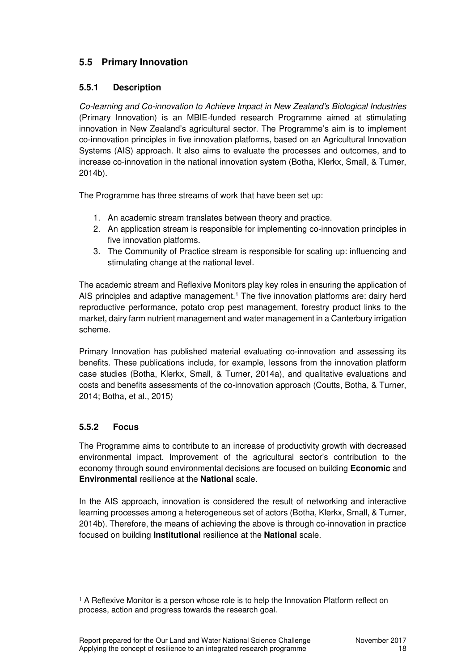### **5.5 Primary Innovation**

#### **5.5.1 Description**

*Co-learning and Co-innovation to Achieve Impact in New Zealand's Biological Industries* (Primary Innovation) is an MBIE-funded research Programme aimed at stimulating innovation in New Zealand's agricultural sector. The Programme's aim is to implement co-innovation principles in five innovation platforms, based on an Agricultural Innovation Systems (AIS) approach. It also aims to evaluate the processes and outcomes, and to increase co-innovation in the national innovation system (Botha, Klerkx, Small, & Turner, 2014b).

The Programme has three streams of work that have been set up:

- 1. An academic stream translates between theory and practice.
- 2. An application stream is responsible for implementing co-innovation principles in five innovation platforms.
- 3. The Community of Practice stream is responsible for scaling up: influencing and stimulating change at the national level.

The academic stream and Reflexive Monitors play key roles in ensuring the application of AIS principles and adaptive management.<sup>1</sup> The five innovation platforms are: dairy herd reproductive performance, potato crop pest management, forestry product links to the market, dairy farm nutrient management and water management in a Canterbury irrigation scheme.

Primary Innovation has published material evaluating co-innovation and assessing its benefits. These publications include, for example, lessons from the innovation platform case studies (Botha, Klerkx, Small, & Turner, 2014a), and qualitative evaluations and costs and benefits assessments of the co-innovation approach (Coutts, Botha, & Turner, 2014; Botha, et al., 2015)

### **5.5.2 Focus**

The Programme aims to contribute to an increase of productivity growth with decreased environmental impact. Improvement of the agricultural sector's contribution to the economy through sound environmental decisions are focused on building **Economic** and **Environmental** resilience at the **National** scale.

In the AIS approach, innovation is considered the result of networking and interactive learning processes among a heterogeneous set of actors (Botha, Klerkx, Small, & Turner, 2014b). Therefore, the means of achieving the above is through co-innovation in practice focused on building **Institutional** resilience at the **National** scale.

<sup>&</sup>lt;sup>1</sup> A Reflexive Monitor is a person whose role is to help the Innovation Platform reflect on process, action and progress towards the research goal.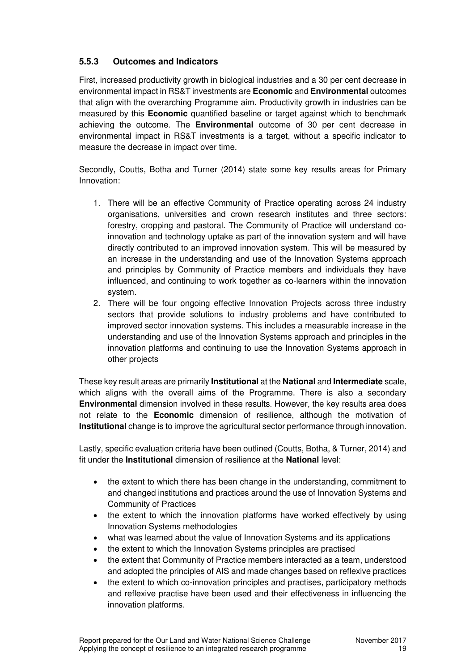#### **5.5.3 Outcomes and Indicators**

First, increased productivity growth in biological industries and a 30 per cent decrease in environmental impact in RS&T investments are **Economic** and **Environmental** outcomes that align with the overarching Programme aim. Productivity growth in industries can be measured by this **Economic** quantified baseline or target against which to benchmark achieving the outcome. The **Environmental** outcome of 30 per cent decrease in environmental impact in RS&T investments is a target, without a specific indicator to measure the decrease in impact over time.

Secondly, Coutts, Botha and Turner (2014) state some key results areas for Primary Innovation:

- 1. There will be an effective Community of Practice operating across 24 industry organisations, universities and crown research institutes and three sectors: forestry, cropping and pastoral. The Community of Practice will understand coinnovation and technology uptake as part of the innovation system and will have directly contributed to an improved innovation system. This will be measured by an increase in the understanding and use of the Innovation Systems approach and principles by Community of Practice members and individuals they have influenced, and continuing to work together as co-learners within the innovation system.
- 2. There will be four ongoing effective Innovation Projects across three industry sectors that provide solutions to industry problems and have contributed to improved sector innovation systems. This includes a measurable increase in the understanding and use of the Innovation Systems approach and principles in the innovation platforms and continuing to use the Innovation Systems approach in other projects

These key result areas are primarily **Institutional** at the **National** and **Intermediate** scale, which aligns with the overall aims of the Programme. There is also a secondary **Environmental** dimension involved in these results. However, the key results area does not relate to the **Economic** dimension of resilience, although the motivation of **Institutional** change is to improve the agricultural sector performance through innovation.

Lastly, specific evaluation criteria have been outlined (Coutts, Botha, & Turner, 2014) and fit under the **Institutional** dimension of resilience at the **National** level:

- the extent to which there has been change in the understanding, commitment to and changed institutions and practices around the use of Innovation Systems and Community of Practices
- the extent to which the innovation platforms have worked effectively by using Innovation Systems methodologies
- what was learned about the value of Innovation Systems and its applications
- the extent to which the Innovation Systems principles are practised
- the extent that Community of Practice members interacted as a team, understood and adopted the principles of AIS and made changes based on reflexive practices
- the extent to which co-innovation principles and practises, participatory methods and reflexive practise have been used and their effectiveness in influencing the innovation platforms.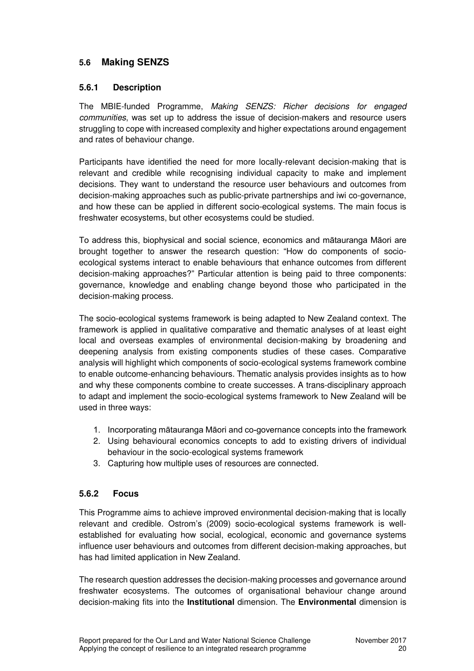### **5.6 Making SENZS**

#### **5.6.1 Description**

The MBIE-funded Programme, *Making SENZS: Richer decisions for engaged communities*, was set up to address the issue of decision-makers and resource users struggling to cope with increased complexity and higher expectations around engagement and rates of behaviour change.

Participants have identified the need for more locally-relevant decision-making that is relevant and credible while recognising individual capacity to make and implement decisions. They want to understand the resource user behaviours and outcomes from decision-making approaches such as public-private partnerships and iwi co-governance, and how these can be applied in different socio-ecological systems. The main focus is freshwater ecosystems, but other ecosystems could be studied.

To address this, biophysical and social science, economics and mātauranga Māori are brought together to answer the research question: "How do components of socioecological systems interact to enable behaviours that enhance outcomes from different decision-making approaches?" Particular attention is being paid to three components: governance, knowledge and enabling change beyond those who participated in the decision-making process.

The socio-ecological systems framework is being adapted to New Zealand context. The framework is applied in qualitative comparative and thematic analyses of at least eight local and overseas examples of environmental decision-making by broadening and deepening analysis from existing components studies of these cases. Comparative analysis will highlight which components of socio-ecological systems framework combine to enable outcome-enhancing behaviours. Thematic analysis provides insights as to how and why these components combine to create successes. A trans-disciplinary approach to adapt and implement the socio-ecological systems framework to New Zealand will be used in three ways:

- 1. Incorporating mātauranga Māori and co-governance concepts into the framework
- 2. Using behavioural economics concepts to add to existing drivers of individual behaviour in the socio-ecological systems framework
- 3. Capturing how multiple uses of resources are connected.

#### **5.6.2 Focus**

This Programme aims to achieve improved environmental decision-making that is locally relevant and credible. Ostrom's (2009) socio-ecological systems framework is wellestablished for evaluating how social, ecological, economic and governance systems influence user behaviours and outcomes from different decision-making approaches, but has had limited application in New Zealand.

The research question addresses the decision-making processes and governance around freshwater ecosystems. The outcomes of organisational behaviour change around decision-making fits into the **Institutional** dimension. The **Environmental** dimension is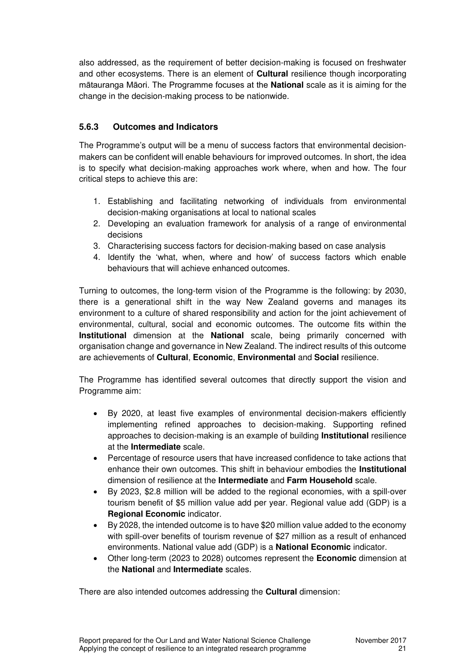also addressed, as the requirement of better decision-making is focused on freshwater and other ecosystems. There is an element of **Cultural** resilience though incorporating mātauranga Māori. The Programme focuses at the **National** scale as it is aiming for the change in the decision-making process to be nationwide.

#### **5.6.3 Outcomes and Indicators**

The Programme's output will be a menu of success factors that environmental decisionmakers can be confident will enable behaviours for improved outcomes. In short, the idea is to specify what decision-making approaches work where, when and how. The four critical steps to achieve this are:

- 1. Establishing and facilitating networking of individuals from environmental decision-making organisations at local to national scales
- 2. Developing an evaluation framework for analysis of a range of environmental decisions
- 3. Characterising success factors for decision-making based on case analysis
- 4. Identify the 'what, when, where and how' of success factors which enable behaviours that will achieve enhanced outcomes.

Turning to outcomes, the long-term vision of the Programme is the following: by 2030, there is a generational shift in the way New Zealand governs and manages its environment to a culture of shared responsibility and action for the joint achievement of environmental, cultural, social and economic outcomes. The outcome fits within the **Institutional** dimension at the **National** scale, being primarily concerned with organisation change and governance in New Zealand. The indirect results of this outcome are achievements of **Cultural**, **Economic**, **Environmental** and **Social** resilience.

The Programme has identified several outcomes that directly support the vision and Programme aim:

- By 2020, at least five examples of environmental decision-makers efficiently implementing refined approaches to decision-making. Supporting refined approaches to decision-making is an example of building **Institutional** resilience at the **Intermediate** scale.
- Percentage of resource users that have increased confidence to take actions that enhance their own outcomes. This shift in behaviour embodies the **Institutional** dimension of resilience at the **Intermediate** and **Farm Household** scale.
- By 2023, \$2.8 million will be added to the regional economies, with a spill-over tourism benefit of \$5 million value add per year. Regional value add (GDP) is a **Regional Economic** indicator.
- By 2028, the intended outcome is to have \$20 million value added to the economy with spill-over benefits of tourism revenue of \$27 million as a result of enhanced environments. National value add (GDP) is a **National Economic** indicator.
- Other long-term (2023 to 2028) outcomes represent the **Economic** dimension at the **National** and **Intermediate** scales.

There are also intended outcomes addressing the **Cultural** dimension: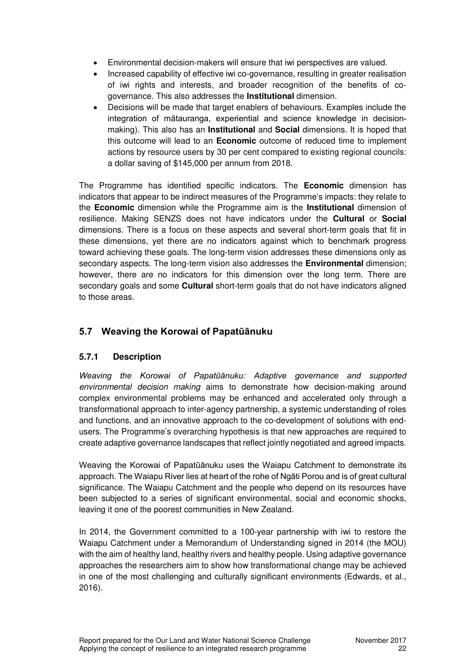- Environmental decision-makers will ensure that iwi perspectives are valued.
- Increased capability of effective iwi co-governance, resulting in greater realisation of iwi rights and interests, and broader recognition of the benefits of cogovernance. This also addresses the **Institutional** dimension.
- Decisions will be made that target enablers of behaviours. Examples include the integration of mātauranga, experiential and science knowledge in decisionmaking). This also has an **Institutional** and **Social** dimensions. It is hoped that this outcome will lead to an **Economic** outcome of reduced time to implement actions by resource users by 30 per cent compared to existing regional councils: a dollar saving of \$145,000 per annum from 2018.

The Programme has identified specific indicators. The **Economic** dimension has indicators that appear to be indirect measures of the Programme's impacts: they relate to the **Economic** dimension while the Programme aim is the **Institutional** dimension of resilience. Making SENZS does not have indicators under the **Cultural** or **Social** dimensions. There is a focus on these aspects and several short-term goals that fit in these dimensions, yet there are no indicators against which to benchmark progress toward achieving these goals. The long-term vision addresses these dimensions only as secondary aspects. The long-term vision also addresses the **Environmental** dimension; however, there are no indicators for this dimension over the long term. There are secondary goals and some **Cultural** short-term goals that do not have indicators aligned to those areas.

### **5.7 Weaving the Korowai of Papatūānuku**

### **5.7.1 Description**

*Weaving the Korowai of Papatūānuku: Adaptive governance and supported environmental decision making* aims to demonstrate how decision-making around complex environmental problems may be enhanced and accelerated only through a transformational approach to inter-agency partnership, a systemic understanding of roles and functions, and an innovative approach to the co-development of solutions with endusers. The Programme's overarching hypothesis is that new approaches are required to create adaptive governance landscapes that reflect jointly negotiated and agreed impacts.

Weaving the Korowai of Papatūānuku uses the Waiapu Catchment to demonstrate its approach. The Waiapu River lies at heart of the rohe of Ngāti Porou and is of great cultural significance. The Waiapu Catchment and the people who depend on its resources have been subjected to a series of significant environmental, social and economic shocks, leaving it one of the poorest communities in New Zealand.

In 2014, the Government committed to a 100-year partnership with iwi to restore the Waiapu Catchment under a Memorandum of Understanding signed in 2014 (the MOU) with the aim of healthy land, healthy rivers and healthy people. Using adaptive governance approaches the researchers aim to show how transformational change may be achieved in one of the most challenging and culturally significant environments (Edwards, et al., 2016).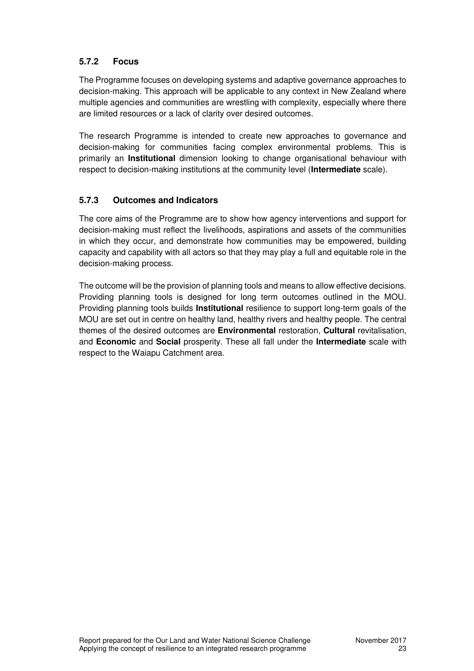#### **5.7.2 Focus**

The Programme focuses on developing systems and adaptive governance approaches to decision-making. This approach will be applicable to any context in New Zealand where multiple agencies and communities are wrestling with complexity, especially where there are limited resources or a lack of clarity over desired outcomes.

The research Programme is intended to create new approaches to governance and decision-making for communities facing complex environmental problems. This is primarily an **Institutional** dimension looking to change organisational behaviour with respect to decision-making institutions at the community level (**Intermediate** scale).

#### **5.7.3 Outcomes and Indicators**

The core aims of the Programme are to show how agency interventions and support for decision-making must reflect the livelihoods, aspirations and assets of the communities in which they occur, and demonstrate how communities may be empowered, building capacity and capability with all actors so that they may play a full and equitable role in the decision-making process.

The outcome will be the provision of planning tools and means to allow effective decisions. Providing planning tools is designed for long term outcomes outlined in the MOU. Providing planning tools builds **Institutional** resilience to support long-term goals of the MOU are set out in centre on healthy land, healthy rivers and healthy people. The central themes of the desired outcomes are **Environmental** restoration, **Cultural** revitalisation, and **Economic** and **Social** prosperity. These all fall under the **Intermediate** scale with respect to the Waiapu Catchment area.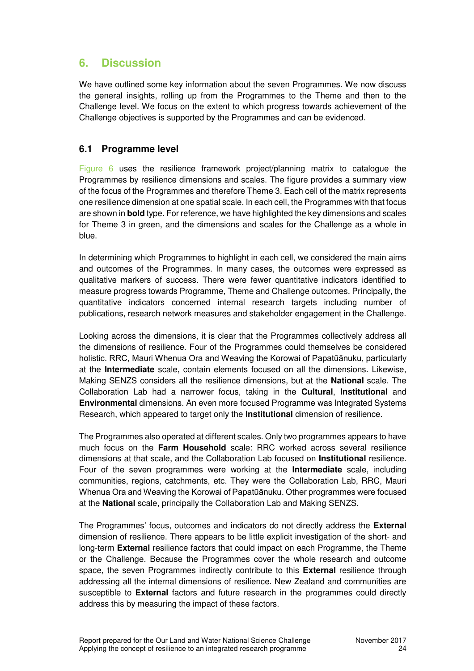# **6. Discussion**

We have outlined some key information about the seven Programmes. We now discuss the general insights, rolling up from the Programmes to the Theme and then to the Challenge level. We focus on the extent to which progress towards achievement of the Challenge objectives is supported by the Programmes and can be evidenced.

### **6.1 Programme level**

Figure 6 uses the resilience framework project/planning matrix to catalogue the Programmes by resilience dimensions and scales. The figure provides a summary view of the focus of the Programmes and therefore Theme 3. Each cell of the matrix represents one resilience dimension at one spatial scale. In each cell, the Programmes with that focus are shown in **bold** type. For reference, we have highlighted the key dimensions and scales for Theme 3 in green, and the dimensions and scales for the Challenge as a whole in blue.

In determining which Programmes to highlight in each cell, we considered the main aims and outcomes of the Programmes. In many cases, the outcomes were expressed as qualitative markers of success. There were fewer quantitative indicators identified to measure progress towards Programme, Theme and Challenge outcomes. Principally, the quantitative indicators concerned internal research targets including number of publications, research network measures and stakeholder engagement in the Challenge.

Looking across the dimensions, it is clear that the Programmes collectively address all the dimensions of resilience. Four of the Programmes could themselves be considered holistic. RRC, Mauri Whenua Ora and Weaving the Korowai of Papatūānuku, particularly at the **Intermediate** scale, contain elements focused on all the dimensions. Likewise, Making SENZS considers all the resilience dimensions, but at the **National** scale. The Collaboration Lab had a narrower focus, taking in the **Cultural**, **Institutional** and **Environmental** dimensions. An even more focused Programme was Integrated Systems Research, which appeared to target only the **Institutional** dimension of resilience.

The Programmes also operated at different scales. Only two programmes appears to have much focus on the **Farm Household** scale: RRC worked across several resilience dimensions at that scale, and the Collaboration Lab focused on **Institutional** resilience. Four of the seven programmes were working at the **Intermediate** scale, including communities, regions, catchments, etc. They were the Collaboration Lab, RRC, Mauri Whenua Ora and Weaving the Korowai of Papatūānuku. Other programmes were focused at the **National** scale, principally the Collaboration Lab and Making SENZS.

The Programmes' focus, outcomes and indicators do not directly address the **External** dimension of resilience. There appears to be little explicit investigation of the short- and long-term **External** resilience factors that could impact on each Programme, the Theme or the Challenge. Because the Programmes cover the whole research and outcome space, the seven Programmes indirectly contribute to this **External** resilience through addressing all the internal dimensions of resilience. New Zealand and communities are susceptible to **External** factors and future research in the programmes could directly address this by measuring the impact of these factors.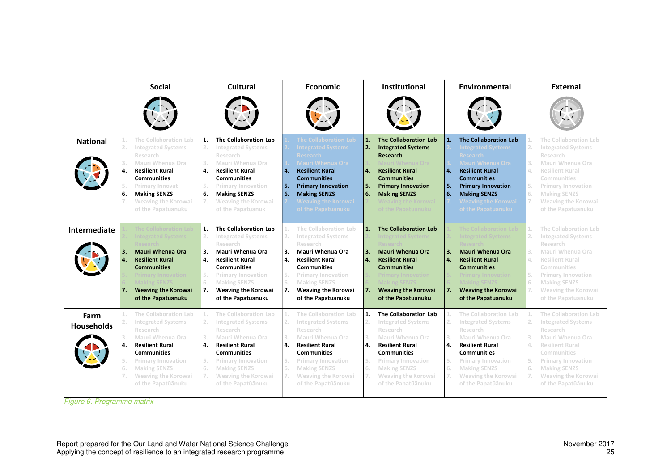|                           |                                        | <b>Social</b>                                                                                                                                                                                                                                     |                                        | Cultural                                                                                                                                                                                                                                   |                                  | <b>Economic</b>                                                                                                                                                                                                                                                 |                                                    | Institutional                                                                                                                                                                                                                                     | Environmental                    |                                                                                                                                                                                                                                                          |                                        | <b>External</b>                                                                                                                                                                                                              |  |
|---------------------------|----------------------------------------|---------------------------------------------------------------------------------------------------------------------------------------------------------------------------------------------------------------------------------------------------|----------------------------------------|--------------------------------------------------------------------------------------------------------------------------------------------------------------------------------------------------------------------------------------------|----------------------------------|-----------------------------------------------------------------------------------------------------------------------------------------------------------------------------------------------------------------------------------------------------------------|----------------------------------------------------|---------------------------------------------------------------------------------------------------------------------------------------------------------------------------------------------------------------------------------------------------|----------------------------------|----------------------------------------------------------------------------------------------------------------------------------------------------------------------------------------------------------------------------------------------------------|----------------------------------------|------------------------------------------------------------------------------------------------------------------------------------------------------------------------------------------------------------------------------|--|
|                           |                                        |                                                                                                                                                                                                                                                   |                                        |                                                                                                                                                                                                                                            |                                  |                                                                                                                                                                                                                                                                 |                                                    |                                                                                                                                                                                                                                                   |                                  |                                                                                                                                                                                                                                                          |                                        |                                                                                                                                                                                                                              |  |
| <b>National</b>           | 2.<br>3.<br>4.<br>6.                   | The Collaboration Lab<br><b>Integrated Systems</b><br>Research<br>Mauri Whenua Ora<br><b>Resilient Rural</b><br><b>Communities</b><br>Primary Innovat<br><b>Making SENZS</b><br>Weaving the Korowai<br>of the Papatūānuku                         | 1.<br>2.<br>3.<br>4.<br>5.<br>6.<br>7. | The Collaboration Lab<br><b>Integrated Systems</b><br>Research<br>Mauri Whenua Ora<br><b>Resilient Rural</b><br><b>Communities</b><br><b>Primary Innovation</b><br><b>Making SENZS</b><br>Weaving the Korowai<br>of the Papatūānuk         | 4.<br><b>5.</b><br>6.            | <b>The Collaboration Lak</b><br><b>Integrated Systems</b><br><b>Research</b><br><b>Mauri Whenua Ora</b><br><b>Resilient Rural</b><br><b>Communities</b><br><b>Primary Innovation</b><br><b>Making SENZS</b><br><b>Weaving the Korowai</b><br>of the Papatūānuku | $\mathbf{1}$<br>2.<br>$\overline{a}$ .<br>5.<br>6. | <b>The Collaboration Lab</b><br><b>Integrated Systems</b><br><b>Research</b><br>Mauri Whenua Ora<br><b>Resilient Rural</b><br><b>Communities</b><br><b>Primary Innovation</b><br><b>Making SENZS</b><br>Weaving the Korowai<br>of the Papatūānuku | 4.<br>l 5.<br>6.                 | <b>The Collaboration Lab</b><br><b>Integrated Systems</b><br><b>Research</b><br>Mauri Whenua Ora<br><b>Resilient Rural</b><br><b>Communities</b><br><b>Primary Innovation</b><br><b>Making SENZS</b><br><b>Weaving the Korowai</b><br>of the Papatūānuku | 1.<br>2.<br>3.<br>4.<br>5.<br>6.<br>7. | The Collaboration Lab<br><b>Integrated Systems</b><br>Research<br>Mauri Whenua Ora<br><b>Resilient Rural</b><br>Communities<br><b>Primary Innovation</b><br><b>Making SENZS</b><br>Weaving the Korowai<br>of the Papatūānuku |  |
| Intermediate              | З.<br>$\mathbf{4}$<br>7.               | The Collaboration Lab<br><b>Integrated Systems</b><br>Research<br><b>Mauri Whenua Ora</b><br><b>Resilient Rural</b><br><b>Communities</b><br><b>Primary Innovation</b><br><b>Making SENZS</b><br><b>Weaving the Korowai</b><br>of the Papatūānuku | 1.<br>2.<br>3.<br>4.<br>5.<br>6.<br>7. | The Collaboration Lab<br><b>Integrated Systems</b><br>Research<br>Mauri Whenua Ora<br><b>Resilient Rural</b><br><b>Communities</b><br><b>Primary Innovation</b><br><b>Making SENZS</b><br><b>Weaving the Korowai</b><br>of the Papatūānuku | 2.<br>3.<br>4.<br>5.<br>6.<br>7. | The Collaboration Lab<br><b>Integrated Systems</b><br>Research<br>Mauri Whenua Ora<br><b>Resilient Rural</b><br><b>Communities</b><br><b>Primary Innovation</b><br><b>Making SENZS</b><br><b>Weaving the Korowai</b><br>of the Papatūānuku                      | 1.<br>3.<br>$\overline{a}$ .<br>7.                 | The Collaboration Lab<br>ated System<br>Research<br><b>Mauri Whenua Ora</b><br><b>Resilient Rural</b><br><b>Communities</b><br><b>Primary Innovation</b><br><b>Making SENZS</b><br><b>Weaving the Korowai</b><br>of the Papatūānuku               | 3.<br>$\mathbf{4}$ .<br>7.       | The Collaboration Lab<br><b>Integrated Systems</b><br>Research<br><b>Mauri Whenua Ora</b><br><b>Resilient Rural</b><br><b>Communities</b><br><b>Primary Innovation</b><br><b>Making SENZS</b><br><b>Weaving the Korowai</b><br>of the Papatūānuku        | 1.<br>2.<br>3.<br>4.<br>5.<br>6.<br>7. | The Collaboration Lab<br><b>Integrated Systems</b><br>Research<br>Mauri Whenua Ora<br><b>Resilient Rural</b><br>Communities<br><b>Primary Innovation</b><br><b>Making SENZS</b><br>Weaving the Korowai<br>of the Papatūānuku |  |
| Farm<br><b>Households</b> | 1.<br>2.<br>3.<br>4.<br>5.<br>6.<br>7. | The Collaboration Lab<br><b>Integrated Systems</b><br>Research<br>Mauri Whenua Ora<br><b>Resilient Rural</b><br><b>Communities</b><br><b>Primary Innovation</b><br><b>Making SENZS</b><br>Weaving the Korowai<br>of the Papatūānuku               | 2.<br>3.<br>4.<br>5.<br>6.<br>7.       | The Collaboration Lab<br><b>Integrated Systems</b><br>Research<br>Mauri Whenua Ora<br><b>Resilient Rural</b><br><b>Communities</b><br><b>Primary Innovation</b><br><b>Making SENZS</b><br>Weaving the Korowai<br>of the Papatūānuku        | 2.<br>3.<br>4.<br>5.<br>6.<br>7. | The Collaboration Lab<br><b>Integrated Systems</b><br>Research<br>Mauri Whenua Ora<br><b>Resilient Rural</b><br><b>Communities</b><br><b>Primary Innovation</b><br><b>Making SENZS</b><br>Weaving the Korowai<br>of the Papatūānuku                             | 1.<br>2.<br>3.<br>4.<br>5.<br>6.<br>7.             | The Collaboration Lab<br><b>Integrated Systems</b><br>Research<br>Mauri Whenua Ora<br><b>Resilient Rural</b><br><b>Communities</b><br><b>Primary Innovation</b><br><b>Making SENZS</b><br>Weaving the Korowai<br>of the Papatūānuku               | 2.<br>3.<br>4.<br>5.<br>6.<br>7. | The Collaboration Lab<br><b>Integrated Systems</b><br>Research<br>Mauri Whenua Ora<br><b>Resilient Rural</b><br><b>Communities</b><br><b>Primary Innovation</b><br><b>Making SENZS</b><br>Weaving the Korowai<br>of the Papatūānuku                      | 1.<br>2.<br>3.<br>4.<br>5.<br>6.<br>7. | The Collaboration Lab<br><b>Integrated Systems</b><br>Research<br>Mauri Whenua Ora<br><b>Resilient Rural</b><br>Communities<br><b>Primary Innovation</b><br><b>Making SENZS</b><br>Weaving the Korowai<br>of the Papatūānuku |  |

*Figure 6. Programme matrix*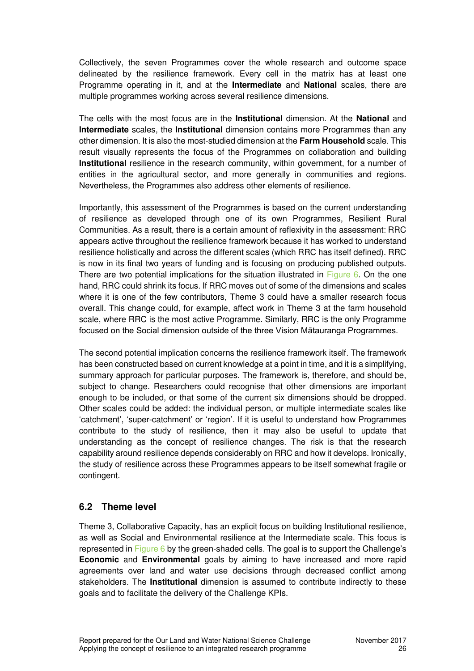Collectively, the seven Programmes cover the whole research and outcome space delineated by the resilience framework. Every cell in the matrix has at least one Programme operating in it, and at the **Intermediate** and **National** scales, there are multiple programmes working across several resilience dimensions.

The cells with the most focus are in the **Institutional** dimension. At the **National** and **Intermediate** scales, the **Institutional** dimension contains more Programmes than any other dimension. It is also the most-studied dimension at the **Farm Household** scale. This result visually represents the focus of the Programmes on collaboration and building **Institutional** resilience in the research community, within government, for a number of entities in the agricultural sector, and more generally in communities and regions. Nevertheless, the Programmes also address other elements of resilience.

Importantly, this assessment of the Programmes is based on the current understanding of resilience as developed through one of its own Programmes, Resilient Rural Communities. As a result, there is a certain amount of reflexivity in the assessment: RRC appears active throughout the resilience framework because it has worked to understand resilience holistically and across the different scales (which RRC has itself defined). RRC is now in its final two years of funding and is focusing on producing published outputs. There are two potential implications for the situation illustrated in Figure 6. On the one hand, RRC could shrink its focus. If RRC moves out of some of the dimensions and scales where it is one of the few contributors, Theme 3 could have a smaller research focus overall. This change could, for example, affect work in Theme 3 at the farm household scale, where RRC is the most active Programme. Similarly, RRC is the only Programme focused on the Social dimension outside of the three Vision Mātauranga Programmes.

The second potential implication concerns the resilience framework itself. The framework has been constructed based on current knowledge at a point in time, and it is a simplifying, summary approach for particular purposes. The framework is, therefore, and should be, subject to change. Researchers could recognise that other dimensions are important enough to be included, or that some of the current six dimensions should be dropped. Other scales could be added: the individual person, or multiple intermediate scales like 'catchment', 'super-catchment' or 'region'. If it is useful to understand how Programmes contribute to the study of resilience, then it may also be useful to update that understanding as the concept of resilience changes. The risk is that the research capability around resilience depends considerably on RRC and how it develops. Ironically, the study of resilience across these Programmes appears to be itself somewhat fragile or contingent.

### **6.2 Theme level**

Theme 3, Collaborative Capacity, has an explicit focus on building Institutional resilience, as well as Social and Environmental resilience at the Intermediate scale. This focus is represented in Figure 6 by the green-shaded cells. The goal is to support the Challenge's **Economic** and **Environmental** goals by aiming to have increased and more rapid agreements over land and water use decisions through decreased conflict among stakeholders. The **Institutional** dimension is assumed to contribute indirectly to these goals and to facilitate the delivery of the Challenge KPIs.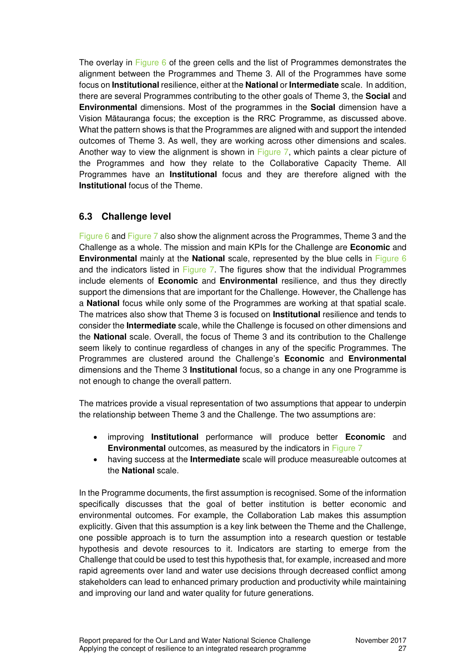The overlay in Figure 6 of the green cells and the list of Programmes demonstrates the alignment between the Programmes and Theme 3. All of the Programmes have some focus on **Institutional** resilience, either at the **National** or **Intermediate** scale. In addition, there are several Programmes contributing to the other goals of Theme 3, the **Social** and **Environmental** dimensions. Most of the programmes in the **Social** dimension have a Vision Mātauranga focus; the exception is the RRC Programme, as discussed above. What the pattern shows is that the Programmes are aligned with and support the intended outcomes of Theme 3. As well, they are working across other dimensions and scales. Another way to view the alignment is shown in Figure 7, which paints a clear picture of the Programmes and how they relate to the Collaborative Capacity Theme. All Programmes have an **Institutional** focus and they are therefore aligned with the **Institutional** focus of the Theme.

### **6.3 Challenge level**

Figure 6 and Figure 7 also show the alignment across the Programmes, Theme 3 and the Challenge as a whole. The mission and main KPIs for the Challenge are **Economic** and **Environmental** mainly at the **National** scale, represented by the blue cells in Figure 6 and the indicators listed in Figure 7. The figures show that the individual Programmes include elements of **Economic** and **Environmental** resilience, and thus they directly support the dimensions that are important for the Challenge. However, the Challenge has a **National** focus while only some of the Programmes are working at that spatial scale. The matrices also show that Theme 3 is focused on **Institutional** resilience and tends to consider the **Intermediate** scale, while the Challenge is focused on other dimensions and the **National** scale. Overall, the focus of Theme 3 and its contribution to the Challenge seem likely to continue regardless of changes in any of the specific Programmes. The Programmes are clustered around the Challenge's **Economic** and **Environmental** dimensions and the Theme 3 **Institutional** focus, so a change in any one Programme is not enough to change the overall pattern.

The matrices provide a visual representation of two assumptions that appear to underpin the relationship between Theme 3 and the Challenge. The two assumptions are:

- improving **Institutional** performance will produce better **Economic** and **Environmental** outcomes, as measured by the indicators in Figure 7
- having success at the **Intermediate** scale will produce measureable outcomes at the **National** scale.

In the Programme documents, the first assumption is recognised. Some of the information specifically discusses that the goal of better institution is better economic and environmental outcomes. For example, the Collaboration Lab makes this assumption explicitly. Given that this assumption is a key link between the Theme and the Challenge, one possible approach is to turn the assumption into a research question or testable hypothesis and devote resources to it. Indicators are starting to emerge from the Challenge that could be used to test this hypothesis that, for example, increased and more rapid agreements over land and water use decisions through decreased conflict among stakeholders can lead to enhanced primary production and productivity while maintaining and improving our land and water quality for future generations.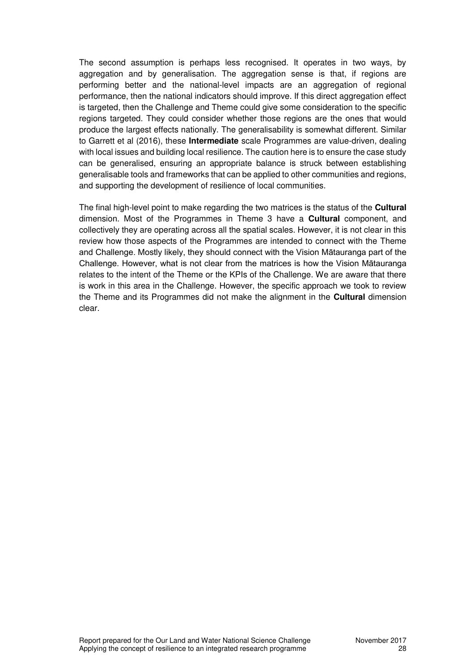The second assumption is perhaps less recognised. It operates in two ways, by aggregation and by generalisation. The aggregation sense is that, if regions are performing better and the national-level impacts are an aggregation of regional performance, then the national indicators should improve. If this direct aggregation effect is targeted, then the Challenge and Theme could give some consideration to the specific regions targeted. They could consider whether those regions are the ones that would produce the largest effects nationally. The generalisability is somewhat different. Similar to Garrett et al (2016), these **Intermediate** scale Programmes are value-driven, dealing with local issues and building local resilience. The caution here is to ensure the case study can be generalised, ensuring an appropriate balance is struck between establishing generalisable tools and frameworks that can be applied to other communities and regions, and supporting the development of resilience of local communities.

The final high-level point to make regarding the two matrices is the status of the **Cultural** dimension. Most of the Programmes in Theme 3 have a **Cultural** component, and collectively they are operating across all the spatial scales. However, it is not clear in this review how those aspects of the Programmes are intended to connect with the Theme and Challenge. Mostly likely, they should connect with the Vision Mātauranga part of the Challenge. However, what is not clear from the matrices is how the Vision Mātauranga relates to the intent of the Theme or the KPIs of the Challenge. We are aware that there is work in this area in the Challenge. However, the specific approach we took to review the Theme and its Programmes did not make the alignment in the **Cultural** dimension clear.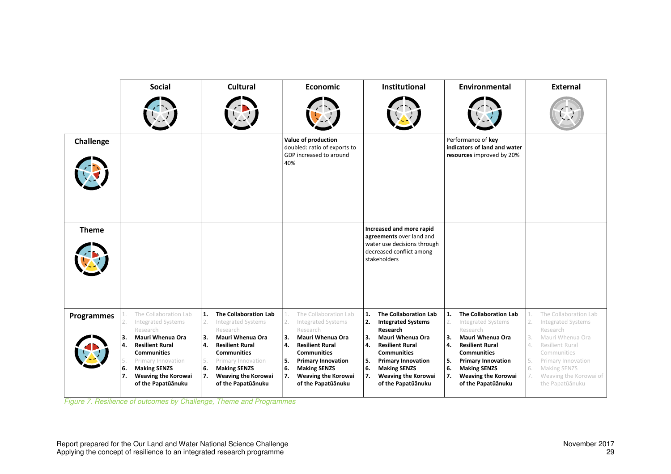|                   | <b>Social</b>                                                                                                                                                                                                                                                                 | Cultural                                                                                                                                                                                                                                                                                | Economic                                                                                                                                                                                                                                                                       | Institutional                                                                                                                                                                                                                                                                               | Environmental                                                                                                                                                                                                                                                                        | <b>External</b>                                                                                                                                                                                                                                                |  |
|-------------------|-------------------------------------------------------------------------------------------------------------------------------------------------------------------------------------------------------------------------------------------------------------------------------|-----------------------------------------------------------------------------------------------------------------------------------------------------------------------------------------------------------------------------------------------------------------------------------------|--------------------------------------------------------------------------------------------------------------------------------------------------------------------------------------------------------------------------------------------------------------------------------|---------------------------------------------------------------------------------------------------------------------------------------------------------------------------------------------------------------------------------------------------------------------------------------------|--------------------------------------------------------------------------------------------------------------------------------------------------------------------------------------------------------------------------------------------------------------------------------------|----------------------------------------------------------------------------------------------------------------------------------------------------------------------------------------------------------------------------------------------------------------|--|
|                   |                                                                                                                                                                                                                                                                               |                                                                                                                                                                                                                                                                                         |                                                                                                                                                                                                                                                                                |                                                                                                                                                                                                                                                                                             |                                                                                                                                                                                                                                                                                      |                                                                                                                                                                                                                                                                |  |
| Challenge         |                                                                                                                                                                                                                                                                               |                                                                                                                                                                                                                                                                                         | Value of production<br>doubled: ratio of exports to<br>GDP increased to around<br>40%                                                                                                                                                                                          |                                                                                                                                                                                                                                                                                             | Performance of key<br>indicators of land and water<br>resources improved by 20%                                                                                                                                                                                                      |                                                                                                                                                                                                                                                                |  |
| <b>Theme</b>      |                                                                                                                                                                                                                                                                               |                                                                                                                                                                                                                                                                                         |                                                                                                                                                                                                                                                                                | Increased and more rapid<br>agreements over land and<br>water use decisions through<br>decreased conflict among<br>stakeholders                                                                                                                                                             |                                                                                                                                                                                                                                                                                      |                                                                                                                                                                                                                                                                |  |
| <b>Programmes</b> | The Collaboration Lab<br>1.<br>2.<br><b>Integrated Systems</b><br>Research<br>Mauri Whenua Ora<br>3.<br>4.<br><b>Resilient Rural</b><br><b>Communities</b><br>Primary Innovation<br>5.<br>6.<br><b>Making SENZS</b><br>7.<br><b>Weaving the Korowai</b><br>of the Papatūānuku | 1.<br>The Collaboration Lab<br>2.<br><b>Integrated Systems</b><br>Research<br>Mauri Whenua Ora<br>3.<br><b>Resilient Rural</b><br>$\mathbf{A}$<br><b>Communities</b><br>5.<br>Primary Innovation<br>6.<br><b>Making SENZS</b><br><b>Weaving the Korowai</b><br>7.<br>of the Papatūānuku | The Collaboration Lab<br>2.<br><b>Integrated Systems</b><br>Research<br>3.<br>Mauri Whenua Ora<br>4.<br><b>Resilient Rural</b><br><b>Communities</b><br>5.<br><b>Primary Innovation</b><br>6.<br><b>Making SENZS</b><br>7.<br><b>Weaving the Korowai</b><br>of the Papatūānuku | The Collaboration Lab<br>1.<br>2.<br><b>Integrated Systems</b><br>Research<br><b>Mauri Whenua Ora</b><br>3.<br>4.<br><b>Resilient Rural</b><br><b>Communities</b><br>5.<br><b>Primary Innovation</b><br>6.<br><b>Making SENZS</b><br>7.<br><b>Weaving the Korowai</b><br>of the Papatūānuku | 1.<br>The Collaboration Lab<br>2.<br><b>Integrated Systems</b><br>Research<br><b>Mauri Whenua Ora</b><br>3.<br>4.<br><b>Resilient Rural</b><br><b>Communities</b><br>5.<br><b>Primary Innovation</b><br>6.<br><b>Making SENZS</b><br>Weaving the Korowai<br>7.<br>of the Papatūānuku | The Collaboration Lab<br>$\perp.$<br>2.<br><b>Integrated Systems</b><br>Research<br>3.<br>Mauri Whenua Ora<br>4.<br><b>Resilient Rural</b><br>Communities<br>5.<br>Primary Innovation<br>6.<br>Making SENZS<br>7.<br>Weaving the Korowai of<br>the Papatūānuku |  |

*Figure 7. Resilience of outcomes by Challenge, Theme and Programmes*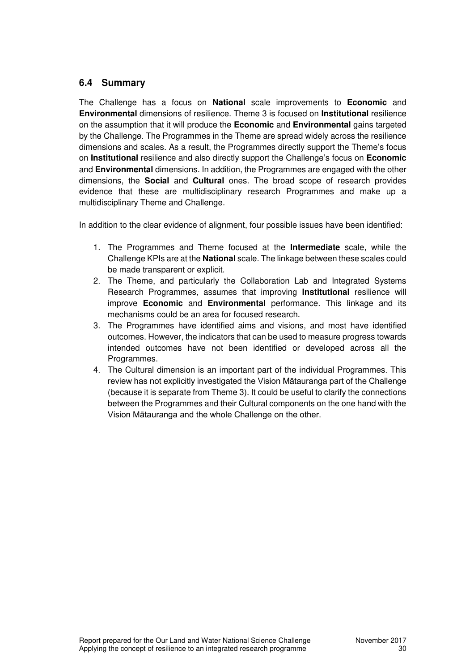### **6.4 Summary**

The Challenge has a focus on **National** scale improvements to **Economic** and **Environmental** dimensions of resilience. Theme 3 is focused on **Institutional** resilience on the assumption that it will produce the **Economic** and **Environmental** gains targeted by the Challenge. The Programmes in the Theme are spread widely across the resilience dimensions and scales. As a result, the Programmes directly support the Theme's focus on **Institutional** resilience and also directly support the Challenge's focus on **Economic** and **Environmental** dimensions. In addition, the Programmes are engaged with the other dimensions, the **Social** and **Cultural** ones. The broad scope of research provides evidence that these are multidisciplinary research Programmes and make up a multidisciplinary Theme and Challenge.

In addition to the clear evidence of alignment, four possible issues have been identified:

- 1. The Programmes and Theme focused at the **Intermediate** scale, while the Challenge KPIs are at the **National** scale. The linkage between these scales could be made transparent or explicit.
- 2. The Theme, and particularly the Collaboration Lab and Integrated Systems Research Programmes, assumes that improving **Institutional** resilience will improve **Economic** and **Environmental** performance. This linkage and its mechanisms could be an area for focused research.
- 3. The Programmes have identified aims and visions, and most have identified outcomes. However, the indicators that can be used to measure progress towards intended outcomes have not been identified or developed across all the Programmes.
- 4. The Cultural dimension is an important part of the individual Programmes. This review has not explicitly investigated the Vision Mātauranga part of the Challenge (because it is separate from Theme 3). It could be useful to clarify the connections between the Programmes and their Cultural components on the one hand with the Vision Mātauranga and the whole Challenge on the other.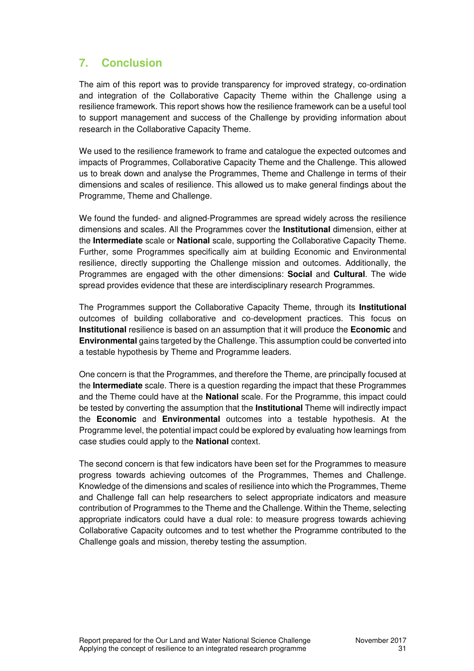# **7. Conclusion**

The aim of this report was to provide transparency for improved strategy, co-ordination and integration of the Collaborative Capacity Theme within the Challenge using a resilience framework. This report shows how the resilience framework can be a useful tool to support management and success of the Challenge by providing information about research in the Collaborative Capacity Theme.

We used to the resilience framework to frame and catalogue the expected outcomes and impacts of Programmes, Collaborative Capacity Theme and the Challenge. This allowed us to break down and analyse the Programmes, Theme and Challenge in terms of their dimensions and scales of resilience. This allowed us to make general findings about the Programme, Theme and Challenge.

We found the funded- and aligned-Programmes are spread widely across the resilience dimensions and scales. All the Programmes cover the **Institutional** dimension, either at the **Intermediate** scale or **National** scale, supporting the Collaborative Capacity Theme. Further, some Programmes specifically aim at building Economic and Environmental resilience, directly supporting the Challenge mission and outcomes. Additionally, the Programmes are engaged with the other dimensions: **Social** and **Cultural**. The wide spread provides evidence that these are interdisciplinary research Programmes.

The Programmes support the Collaborative Capacity Theme, through its **Institutional** outcomes of building collaborative and co-development practices. This focus on **Institutional** resilience is based on an assumption that it will produce the **Economic** and **Environmental** gains targeted by the Challenge. This assumption could be converted into a testable hypothesis by Theme and Programme leaders.

One concern is that the Programmes, and therefore the Theme, are principally focused at the **Intermediate** scale. There is a question regarding the impact that these Programmes and the Theme could have at the **National** scale. For the Programme, this impact could be tested by converting the assumption that the **Institutional** Theme will indirectly impact the **Economic** and **Environmental** outcomes into a testable hypothesis. At the Programme level, the potential impact could be explored by evaluating how learnings from case studies could apply to the **National** context.

The second concern is that few indicators have been set for the Programmes to measure progress towards achieving outcomes of the Programmes, Themes and Challenge. Knowledge of the dimensions and scales of resilience into which the Programmes, Theme and Challenge fall can help researchers to select appropriate indicators and measure contribution of Programmes to the Theme and the Challenge. Within the Theme, selecting appropriate indicators could have a dual role: to measure progress towards achieving Collaborative Capacity outcomes and to test whether the Programme contributed to the Challenge goals and mission, thereby testing the assumption.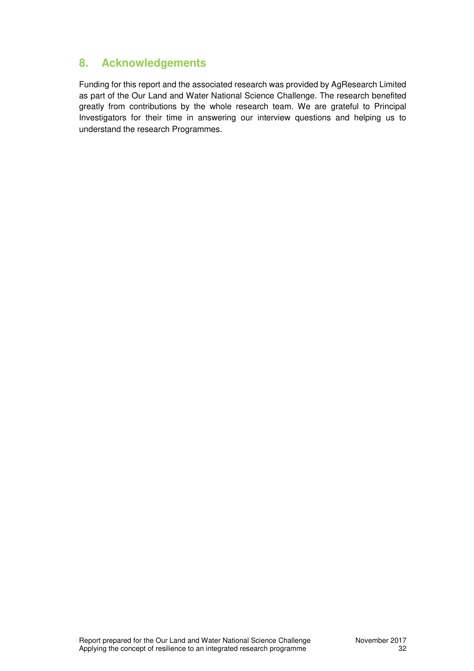# **8. Acknowledgements**

Funding for this report and the associated research was provided by AgResearch Limited as part of the Our Land and Water National Science Challenge. The research benefited greatly from contributions by the whole research team. We are grateful to Principal Investigators for their time in answering our interview questions and helping us to understand the research Programmes.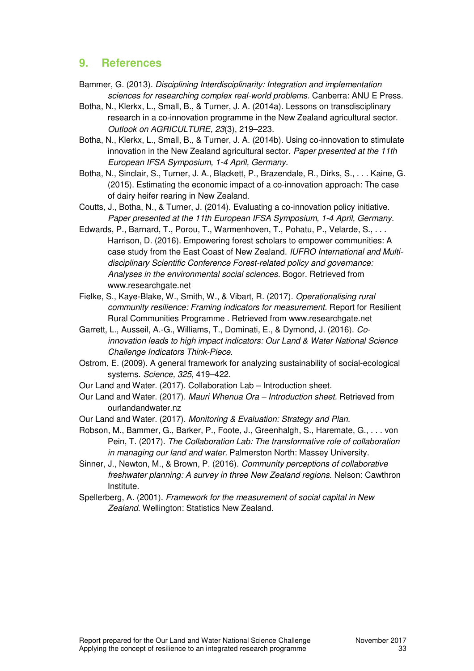### **9. References**

- Bammer, G. (2013). *Disciplining Interdisciplinarity: Integration and implementation sciences for researching complex real-world problems.* Canberra: ANU E Press.
- Botha, N., Klerkx, L., Small, B., & Turner, J. A. (2014a). Lessons on transdisciplinary research in a co-innovation programme in the New Zealand agricultural sector. *Outlook on AGRICULTURE, 23*(3), 219–223.
- Botha, N., Klerkx, L., Small, B., & Turner, J. A. (2014b). Using co-innovation to stimulate innovation in the New Zealand agricultural sector. *Paper presented at the 11th European IFSA Symposium, 1-4 April, Germany.*
- Botha, N., Sinclair, S., Turner, J. A., Blackett, P., Brazendale, R., Dirks, S., . . . Kaine, G. (2015). Estimating the economic impact of a co-innovation approach: The case of dairy heifer rearing in New Zealand.
- Coutts, J., Botha, N., & Turner, J. (2014). Evaluating a co-innovation policy initiative. *Paper presented at the 11th European IFSA Symposium, 1-4 April, Germany.*
- Edwards, P., Barnard, T., Porou, T., Warmenhoven, T., Pohatu, P., Velarde, S., . . . Harrison, D. (2016). Empowering forest scholars to empower communities: A case study from the East Coast of New Zealand. *IUFRO International and Multidisciplinary Scientific Conference Forest-related policy and governance: Analyses in the environmental social sciences.* Bogor. Retrieved from www.researchgate.net
- Fielke, S., Kaye-Blake, W., Smith, W., & Vibart, R. (2017). *Operationalising rural community resilience: Framing indicators for measurement.* Report for Resilient Rural Communities Programme . Retrieved from www.researchgate.net
- Garrett, L., Ausseil, A.-G., Williams, T., Dominati, E., & Dymond, J. (2016). *Coinnovation leads to high impact indicators: Our Land & Water National Science Challenge Indicators Think-Piece.*
- Ostrom, E. (2009). A general framework for analyzing sustainability of social-ecological systems. *Science, 325*, 419–422.
- Our Land and Water. (2017). Collaboration Lab Introduction sheet.
- Our Land and Water. (2017). *Mauri Whenua Ora Introduction sheet.* Retrieved from ourlandandwater.nz
- Our Land and Water. (2017). *Monitoring & Evaluation: Strategy and Plan.*
- Robson, M., Bammer, G., Barker, P., Foote, J., Greenhalgh, S., Haremate, G., . . . von Pein, T. (2017). *The Collaboration Lab: The transformative role of collaboration in managing our land and water.* Palmerston North: Massey University.
- Sinner, J., Newton, M., & Brown, P. (2016). *Community perceptions of collaborative freshwater planning: A survey in three New Zealand regions.* Nelson: Cawthron Institute.
- Spellerberg, A. (2001). *Framework for the measurement of social capital in New Zealand.* Wellington: Statistics New Zealand.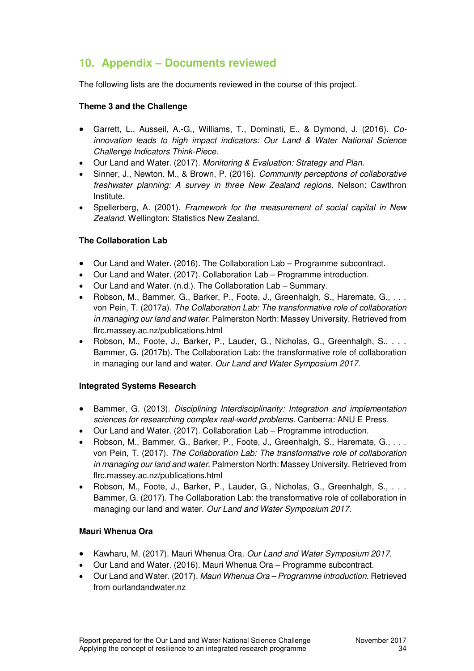# **10. Appendix – Documents reviewed**

The following lists are the documents reviewed in the course of this project.

#### **Theme 3 and the Challenge**

- Garrett, L., Ausseil, A.-G., Williams, T., Dominati, E., & Dymond, J. (2016). *Coinnovation leads to high impact indicators: Our Land & Water National Science Challenge Indicators Think-Piece.*
- Our Land and Water. (2017). *Monitoring & Evaluation: Strategy and Plan.*
- Sinner, J., Newton, M., & Brown, P. (2016). *Community perceptions of collaborative freshwater planning: A survey in three New Zealand regions.* Nelson: Cawthron Institute.
- Spellerberg, A. (2001). *Framework for the measurement of social capital in New Zealand.* Wellington: Statistics New Zealand.

#### **The Collaboration Lab**

- Our Land and Water. (2016). The Collaboration Lab Programme subcontract.
- Our Land and Water. (2017). Collaboration Lab Programme introduction.
- Our Land and Water. (n.d.). The Collaboration Lab Summary.
- Robson, M., Bammer, G., Barker, P., Foote, J., Greenhalgh, S., Haremate, G., . . . von Pein, T. (2017a). *The Collaboration Lab: The transformative role of collaboration in managing our land and water.* Palmerston North: Massey University. Retrieved from flrc.massey.ac.nz/publications.html
- Robson, M., Foote, J., Barker, P., Lauder, G., Nicholas, G., Greenhalgh, S., ... Bammer, G. (2017b). The Collaboration Lab: the transformative role of collaboration in managing our land and water. *Our Land and Water Symposium 2017.*

#### **Integrated Systems Research**

- Bammer, G. (2013). *Disciplining Interdisciplinarity: Integration and implementation sciences for researching complex real-world problems.* Canberra: ANU E Press.
- Our Land and Water. (2017). Collaboration Lab Programme introduction.
- Robson, M., Bammer, G., Barker, P., Foote, J., Greenhalgh, S., Haremate, G., . . . von Pein, T. (2017). *The Collaboration Lab: The transformative role of collaboration in managing our land and water.* Palmerston North: Massey University. Retrieved from flrc.massey.ac.nz/publications.html
- Robson, M., Foote, J., Barker, P., Lauder, G., Nicholas, G., Greenhalgh, S., . . . Bammer, G. (2017). The Collaboration Lab: the transformative role of collaboration in managing our land and water. *Our Land and Water Symposium 2017.*

#### **Mauri Whenua Ora**

- Kawharu, M. (2017). Mauri Whenua Ora. *Our Land and Water Symposium 2017.*
- Our Land and Water. (2016). Mauri Whenua Ora Programme subcontract.
- Our Land and Water. (2017). *Mauri Whenua Ora Programme introduction.* Retrieved from ourlandandwater.nz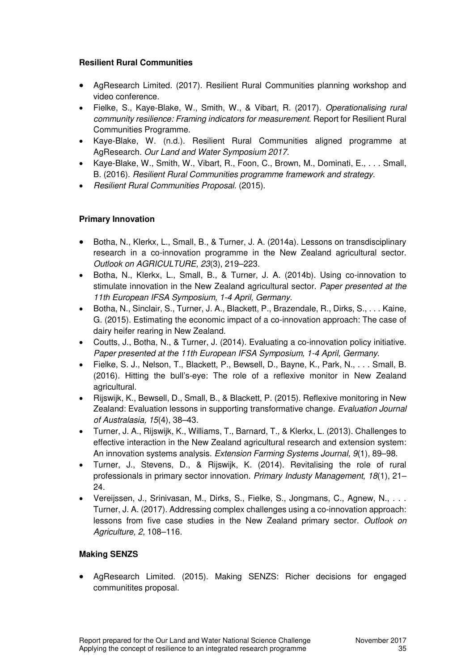#### **Resilient Rural Communities**

- AgResearch Limited. (2017). Resilient Rural Communities planning workshop and video conference.
- Fielke, S., Kaye-Blake, W., Smith, W., & Vibart, R. (2017). *Operationalising rural community resilience: Framing indicators for measurement.* Report for Resilient Rural Communities Programme.
- Kaye-Blake, W. (n.d.). Resilient Rural Communities aligned programme at AgResearch. *Our Land and Water Symposium 2017.*
- Kaye-Blake, W., Smith, W., Vibart, R., Foon, C., Brown, M., Dominati, E., ., . Small, B. (2016). *Resilient Rural Communities programme framework and strategy.*
- *Resilient Rural Communities Proposal.* (2015).

#### **Primary Innovation**

- Botha, N., Klerkx, L., Small, B., & Turner, J. A. (2014a). Lessons on transdisciplinary research in a co-innovation programme in the New Zealand agricultural sector. *Outlook on AGRICULTURE, 23*(3), 219–223.
- Botha, N., Klerkx, L., Small, B., & Turner, J. A. (2014b). Using co-innovation to stimulate innovation in the New Zealand agricultural sector. *Paper presented at the 11th European IFSA Symposium, 1-4 April, Germany.*
- Botha, N., Sinclair, S., Turner, J. A., Blackett, P., Brazendale, R., Dirks, S., . . . Kaine, G. (2015). Estimating the economic impact of a co-innovation approach: The case of dairy heifer rearing in New Zealand.
- Coutts, J., Botha, N., & Turner, J. (2014). Evaluating a co-innovation policy initiative. *Paper presented at the 11th European IFSA Symposium, 1-4 April, Germany.*
- Fielke, S. J., Nelson, T., Blackett, P., Bewsell, D., Bayne, K., Park, N., . . . Small, B. (2016). Hitting the bull's-eye: The role of a reflexive monitor in New Zealand agricultural.
- Rijswijk, K., Bewsell, D., Small, B., & Blackett, P. (2015). Reflexive monitoring in New Zealand: Evaluation lessons in supporting transformative change. *Evaluation Journal of Australasia, 15*(4), 38–43.
- Turner, J. A., Rijswijk, K., Williams, T., Barnard, T., & Klerkx, L. (2013). Challenges to effective interaction in the New Zealand agricultural research and extension system: An innovation systems analysis. *Extension Farming Systems Journal, 9*(1), 89–98.
- Turner, J., Stevens, D., & Rijswijk, K. (2014). Revitalising the role of rural professionals in primary sector innovation. *Primary Industy Management, 18*(1), 21– 24.
- Vereijssen, J., Srinivasan, M., Dirks, S., Fielke, S., Jongmans, C., Agnew, N., . . . Turner, J. A. (2017). Addressing complex challenges using a co-innovation approach: lessons from five case studies in the New Zealand primary sector. *Outlook on Agriculture, 2*, 108–116.

#### **Making SENZS**

 AgResearch Limited. (2015). Making SENZS: Richer decisions for engaged communitites proposal.